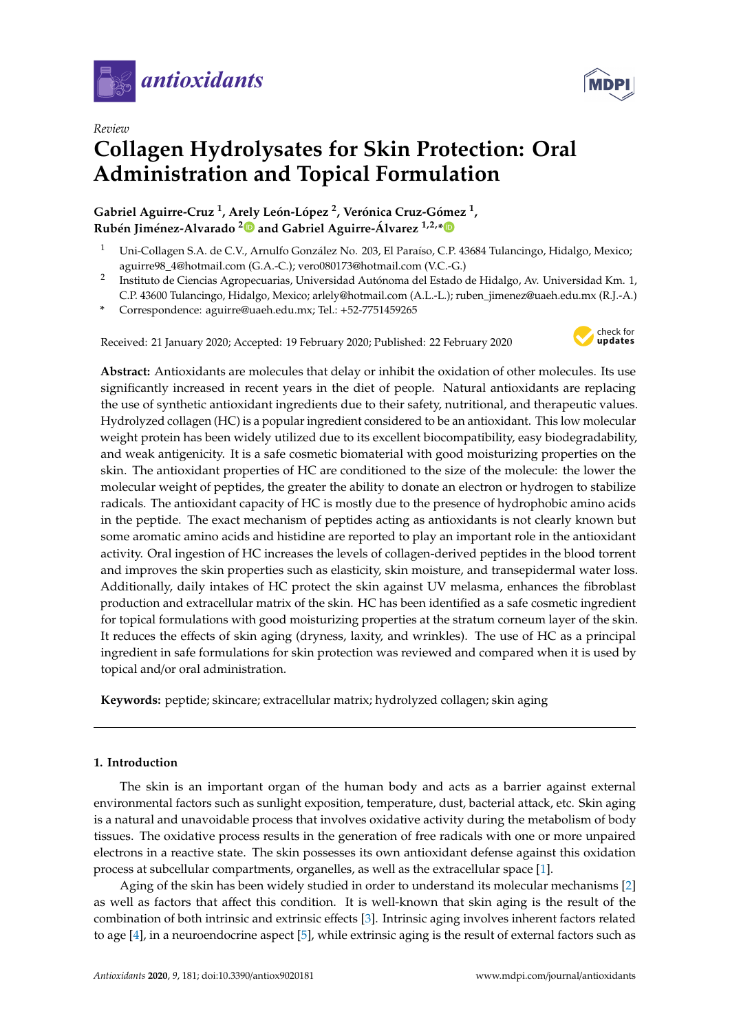



# *Review* **Collagen Hydrolysates for Skin Protection: Oral Administration and Topical Formulation**

# **Gabriel Aguirre-Cruz <sup>1</sup> , Arely León-López <sup>2</sup> , Verónica Cruz-Gómez <sup>1</sup> , Rubén Jiménez-Alvarado [2](https://orcid.org/0000-0003-2538-6061) and Gabriel Aguirre-Álvarez 1,2,[\\*](https://orcid.org/0000-0001-7652-2647)**

- <sup>1</sup> Uni-Collagen S.A. de C.V., Arnulfo González No. 203, El Paraíso, C.P. 43684 Tulancingo, Hidalgo, Mexico; aguirre98\_4@hotmail.com (G.A.-C.); vero080173@hotmail.com (V.C.-G.)
- 2 Instituto de Ciencias Agropecuarias, Universidad Autónoma del Estado de Hidalgo, Av. Universidad Km. 1, C.P. 43600 Tulancingo, Hidalgo, Mexico; arlely@hotmail.com (A.L.-L.); ruben\_jimenez@uaeh.edu.mx (R.J.-A.)
- **\*** Correspondence: aguirre@uaeh.edu.mx; Tel.: +52-7751459265

Received: 21 January 2020; Accepted: 19 February 2020; Published: 22 February 2020



**Abstract:** Antioxidants are molecules that delay or inhibit the oxidation of other molecules. Its use significantly increased in recent years in the diet of people. Natural antioxidants are replacing the use of synthetic antioxidant ingredients due to their safety, nutritional, and therapeutic values. Hydrolyzed collagen (HC) is a popular ingredient considered to be an antioxidant. This low molecular weight protein has been widely utilized due to its excellent biocompatibility, easy biodegradability, and weak antigenicity. It is a safe cosmetic biomaterial with good moisturizing properties on the skin. The antioxidant properties of HC are conditioned to the size of the molecule: the lower the molecular weight of peptides, the greater the ability to donate an electron or hydrogen to stabilize radicals. The antioxidant capacity of HC is mostly due to the presence of hydrophobic amino acids in the peptide. The exact mechanism of peptides acting as antioxidants is not clearly known but some aromatic amino acids and histidine are reported to play an important role in the antioxidant activity. Oral ingestion of HC increases the levels of collagen-derived peptides in the blood torrent and improves the skin properties such as elasticity, skin moisture, and transepidermal water loss. Additionally, daily intakes of HC protect the skin against UV melasma, enhances the fibroblast production and extracellular matrix of the skin. HC has been identified as a safe cosmetic ingredient for topical formulations with good moisturizing properties at the stratum corneum layer of the skin. It reduces the effects of skin aging (dryness, laxity, and wrinkles). The use of HC as a principal ingredient in safe formulations for skin protection was reviewed and compared when it is used by topical and/or oral administration.

**Keywords:** peptide; skincare; extracellular matrix; hydrolyzed collagen; skin aging

# **1. Introduction**

The skin is an important organ of the human body and acts as a barrier against external environmental factors such as sunlight exposition, temperature, dust, bacterial attack, etc. Skin aging is a natural and unavoidable process that involves oxidative activity during the metabolism of body tissues. The oxidative process results in the generation of free radicals with one or more unpaired electrons in a reactive state. The skin possesses its own antioxidant defense against this oxidation process at subcellular compartments, organelles, as well as the extracellular space [\[1\]](#page-10-0).

Aging of the skin has been widely studied in order to understand its molecular mechanisms [\[2\]](#page-10-1) as well as factors that affect this condition. It is well-known that skin aging is the result of the combination of both intrinsic and extrinsic effects [\[3\]](#page-10-2). Intrinsic aging involves inherent factors related to age [\[4\]](#page-10-3), in a neuroendocrine aspect [\[5\]](#page-10-4), while extrinsic aging is the result of external factors such as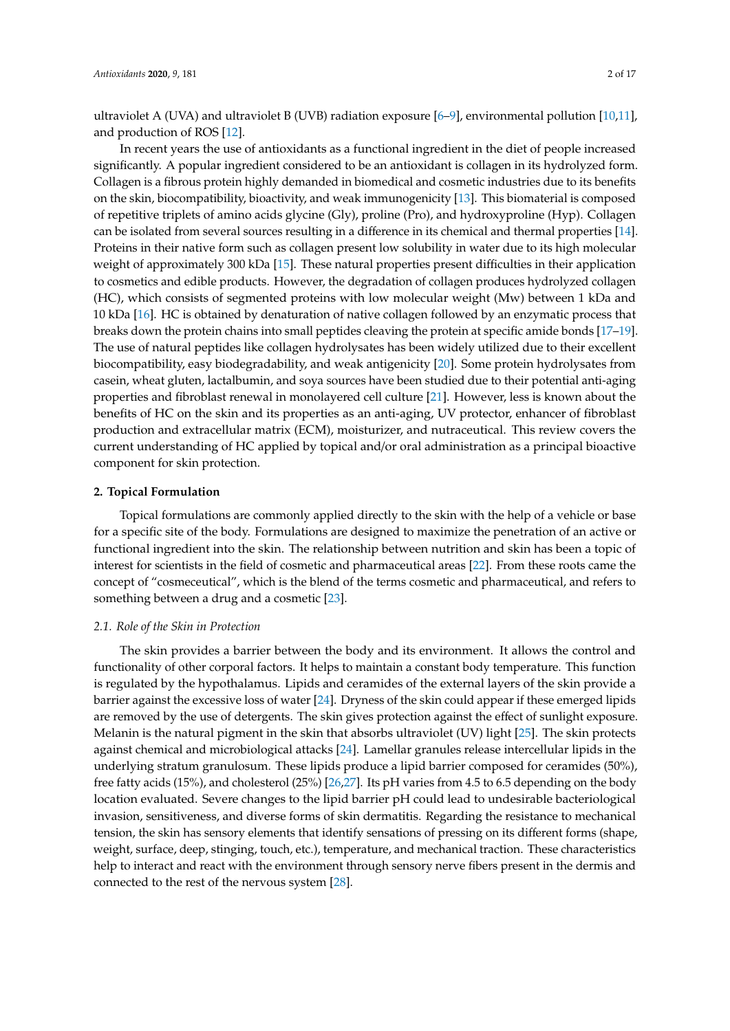ultraviolet A (UVA) and ultraviolet B (UVB) radiation exposure [\[6–](#page-10-5)[9\]](#page-10-6), environmental pollution [\[10](#page-10-7)[,11\]](#page-10-8), and production of ROS [\[12\]](#page-10-9).

In recent years the use of antioxidants as a functional ingredient in the diet of people increased significantly. A popular ingredient considered to be an antioxidant is collagen in its hydrolyzed form. Collagen is a fibrous protein highly demanded in biomedical and cosmetic industries due to its benefits on the skin, biocompatibility, bioactivity, and weak immunogenicity [\[13\]](#page-10-10). This biomaterial is composed of repetitive triplets of amino acids glycine (Gly), proline (Pro), and hydroxyproline (Hyp). Collagen can be isolated from several sources resulting in a difference in its chemical and thermal properties [\[14\]](#page-10-11). Proteins in their native form such as collagen present low solubility in water due to its high molecular weight of approximately 300 kDa [\[15\]](#page-11-0). These natural properties present difficulties in their application to cosmetics and edible products. However, the degradation of collagen produces hydrolyzed collagen (HC), which consists of segmented proteins with low molecular weight (Mw) between 1 kDa and 10 kDa [\[16\]](#page-11-1). HC is obtained by denaturation of native collagen followed by an enzymatic process that breaks down the protein chains into small peptides cleaving the protein at specific amide bonds [\[17–](#page-11-2)[19\]](#page-11-3). The use of natural peptides like collagen hydrolysates has been widely utilized due to their excellent biocompatibility, easy biodegradability, and weak antigenicity [\[20\]](#page-11-4). Some protein hydrolysates from casein, wheat gluten, lactalbumin, and soya sources have been studied due to their potential anti-aging properties and fibroblast renewal in monolayered cell culture [\[21\]](#page-11-5). However, less is known about the benefits of HC on the skin and its properties as an anti-aging, UV protector, enhancer of fibroblast production and extracellular matrix (ECM), moisturizer, and nutraceutical. This review covers the current understanding of HC applied by topical and/or oral administration as a principal bioactive component for skin protection.

## **2. Topical Formulation**

Topical formulations are commonly applied directly to the skin with the help of a vehicle or base for a specific site of the body. Formulations are designed to maximize the penetration of an active or functional ingredient into the skin. The relationship between nutrition and skin has been a topic of interest for scientists in the field of cosmetic and pharmaceutical areas [\[22\]](#page-11-6). From these roots came the concept of "cosmeceutical", which is the blend of the terms cosmetic and pharmaceutical, and refers to something between a drug and a cosmetic [\[23\]](#page-11-7).

## *2.1. Role of the Skin in Protection*

The skin provides a barrier between the body and its environment. It allows the control and functionality of other corporal factors. It helps to maintain a constant body temperature. This function is regulated by the hypothalamus. Lipids and ceramides of the external layers of the skin provide a barrier against the excessive loss of water [\[24\]](#page-11-8). Dryness of the skin could appear if these emerged lipids are removed by the use of detergents. The skin gives protection against the effect of sunlight exposure. Melanin is the natural pigment in the skin that absorbs ultraviolet (UV) light [\[25\]](#page-11-9). The skin protects against chemical and microbiological attacks [\[24\]](#page-11-8). Lamellar granules release intercellular lipids in the underlying stratum granulosum. These lipids produce a lipid barrier composed for ceramides (50%), free fatty acids (15%), and cholesterol (25%) [\[26,](#page-11-10)[27\]](#page-11-11). Its pH varies from 4.5 to 6.5 depending on the body location evaluated. Severe changes to the lipid barrier pH could lead to undesirable bacteriological invasion, sensitiveness, and diverse forms of skin dermatitis. Regarding the resistance to mechanical tension, the skin has sensory elements that identify sensations of pressing on its different forms (shape, weight, surface, deep, stinging, touch, etc.), temperature, and mechanical traction. These characteristics help to interact and react with the environment through sensory nerve fibers present in the dermis and connected to the rest of the nervous system [\[28\]](#page-11-12).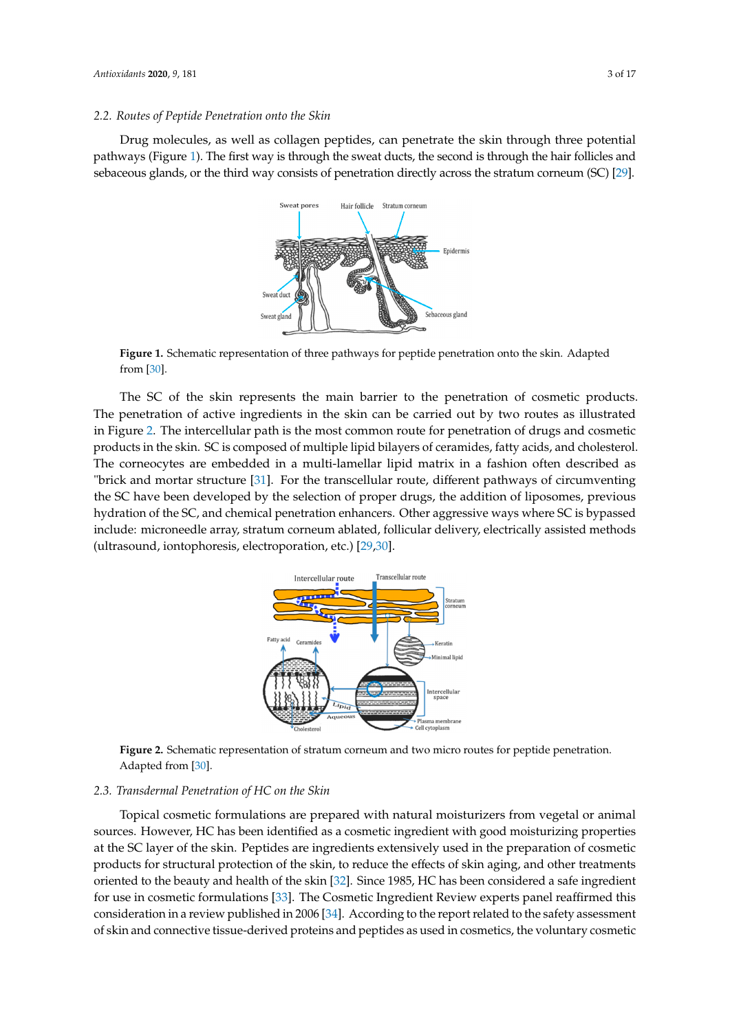#### *2.2. Routes of Peptide Penetration onto the Skin 2.2. Routes of Peptide Penetration onto the Skin 2.2. Routes of Peptide Penetration onto the Skin*

<span id="page-2-0"></span>Drug molecules, as well as collagen peptides, can penetrate the skin through three potential pathways (Figure [1\)](#page-2-0). The first way is through the sweat ducts, the second is through the hair follicles and sebaceous glands, or the third way consists of penetration directly across the stratum corneum (SC) [\[29\]](#page-11-13). Drug molecules, as well as collagen peptides, can penetrate the skin through three potential programs, Figure 1). The figure 1, the first way is the second through the system is the following in the hair follows in the second is the second is the second is the second in the second is the second in the second is th Drug molecules, as well as collagen peptides, can penetrate the skin through three potential participation is the first way in the first way in the sweat ducks, the sweat ducks, the sweat ducks, the following is the second in the sweat ducks, the sweat ducks, the sweat ducks, the sweat ducks, the sweat ducks, the



Figure 1. Schematic representation of three pathways for peptide penetration onto the skin. Adapted from [30]. from [\[30\]](#page-11-14). from [30].

The SC of the skin represents the main barrier to the penetration of cosmetic products. The penetration of active ingredients in the skin can be carried out by two routes as illustrated in Figure [2.](#page-2-1) The intercellular path is the most common route for penetration of drugs and cosmetic products in the skin. SC is composed of multiple lipid bilayers of ceramides, fatty acids, and cholesterol. The corneocytes are embedded in a multi-lamellar lipid matrix in a fashion often described as "brick and mortar structure  $[31]$ . For the transcellular route, different pathways of circumventing the SC have been developed by the selection of proper drugs, the addition of liposomes, previous hydration of the SC, and chemical penetration enhancers. Other aggressive ways where SC is bypassed include: microneedle array, stratum corneum ablated, follicular delivery, electrically assisted methods (ultrasound, iontophoresis, electroporation, etc.) [29,30]. (ultrasound, iontophoresis, electroporation, etc.) [\[29,](#page-11-13)[30\]](#page-11-14). (ultrasound, iontophoresis, electroporation, etc.) [29,30].

<span id="page-2-1"></span>

Figure 2. Schematic representation of stratum corneum and two micro routes for peptide penetration. A[dap](#page-11-14)ted from [30].

# *2.3. Transdermal Penetration of HC on the Skin 2.3. Transdermal Penetration of HC on the Skin 2.3. Transdermal Penetration of HC on the Skin*

Topical cosmetic formulations are prepared with natural moisturizers from vegetal or animal sources. However, HC has been identified as a cosmetic ingredient with good moisturizing properties at the SC layer of the skin. Peptides are ingredients extensively used in the preparation of cosmetic products for structural protection of the skin, to reduce the effects of skin aging, and other treatments oriented to the beauty and health of the skin [\[32\]](#page-11-16). Since 1985, HC has been considered a safe ingredient for use in cosmetic formulations [\[33\]](#page-11-17). The Cosmetic Ingredient Review experts panel reaffirmed this consideration in a review published in 2006 [\[34\]](#page-11-18). According to the report related to the safety assessment of skin and connective tissue-derived proteins and peptides as used in cosmetics, the voluntary cosmetic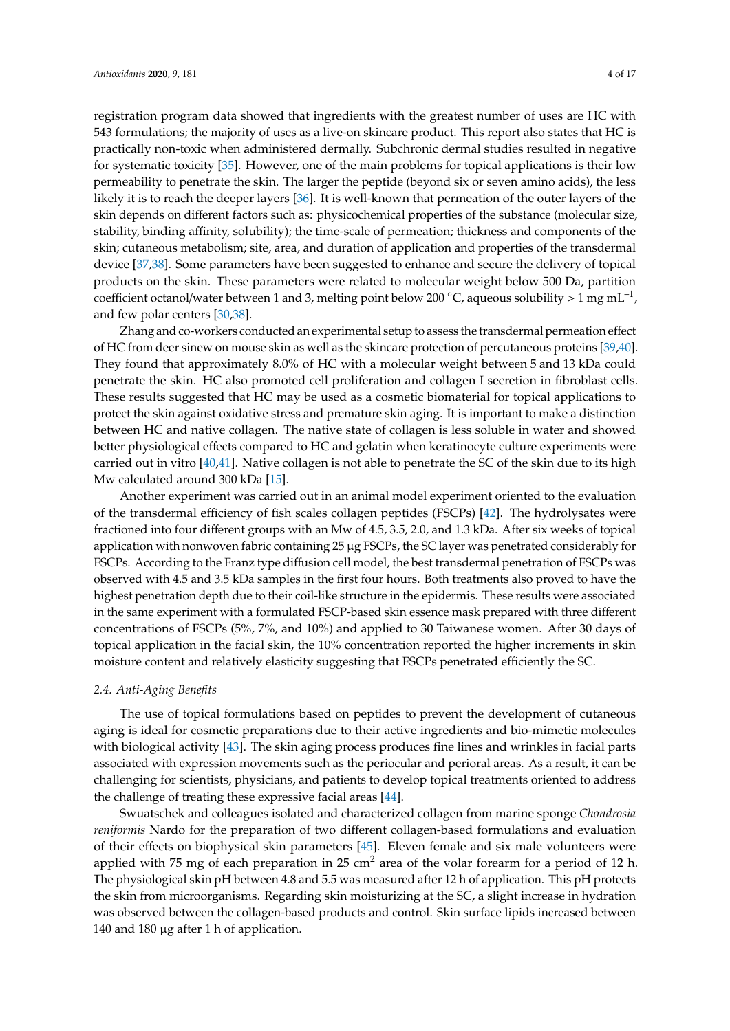registration program data showed that ingredients with the greatest number of uses are HC with 543 formulations; the majority of uses as a live-on skincare product. This report also states that HC is practically non-toxic when administered dermally. Subchronic dermal studies resulted in negative for systematic toxicity [\[35\]](#page-11-19). However, one of the main problems for topical applications is their low permeability to penetrate the skin. The larger the peptide (beyond six or seven amino acids), the less likely it is to reach the deeper layers [\[36\]](#page-11-20). It is well-known that permeation of the outer layers of the skin depends on different factors such as: physicochemical properties of the substance (molecular size, stability, binding affinity, solubility); the time-scale of permeation; thickness and components of the skin; cutaneous metabolism; site, area, and duration of application and properties of the transdermal device [\[37](#page-11-21)[,38\]](#page-11-22). Some parameters have been suggested to enhance and secure the delivery of topical products on the skin. These parameters were related to molecular weight below 500 Da, partition coefficient octanol/water between 1 and 3, melting point below 200 °C, aqueous solubility > 1 mg mL<sup>-1</sup>, and few polar centers [\[30](#page-11-14)[,38\]](#page-11-22).

Zhang and co-workers conducted an experimental setup to assess the transdermal permeation effect of HC from deer sinew on mouse skin as well as the skincare protection of percutaneous proteins [\[39](#page-12-0)[,40\]](#page-12-1). They found that approximately 8.0% of HC with a molecular weight between 5 and 13 kDa could penetrate the skin. HC also promoted cell proliferation and collagen I secretion in fibroblast cells. These results suggested that HC may be used as a cosmetic biomaterial for topical applications to protect the skin against oxidative stress and premature skin aging. It is important to make a distinction between HC and native collagen. The native state of collagen is less soluble in water and showed better physiological effects compared to HC and gelatin when keratinocyte culture experiments were carried out in vitro  $[40,41]$  $[40,41]$ . Native collagen is not able to penetrate the SC of the skin due to its high Mw calculated around 300 kDa [\[15\]](#page-11-0).

Another experiment was carried out in an animal model experiment oriented to the evaluation of the transdermal efficiency of fish scales collagen peptides (FSCPs) [\[42\]](#page-12-3). The hydrolysates were fractioned into four different groups with an Mw of 4.5, 3.5, 2.0, and 1.3 kDa. After six weeks of topical application with nonwoven fabric containing 25 µg FSCPs, the SC layer was penetrated considerably for FSCPs. According to the Franz type diffusion cell model, the best transdermal penetration of FSCPs was observed with 4.5 and 3.5 kDa samples in the first four hours. Both treatments also proved to have the highest penetration depth due to their coil-like structure in the epidermis. These results were associated in the same experiment with a formulated FSCP-based skin essence mask prepared with three different concentrations of FSCPs (5%, 7%, and 10%) and applied to 30 Taiwanese women. After 30 days of topical application in the facial skin, the 10% concentration reported the higher increments in skin moisture content and relatively elasticity suggesting that FSCPs penetrated efficiently the SC.

# *2.4. Anti-Aging Benefits*

The use of topical formulations based on peptides to prevent the development of cutaneous aging is ideal for cosmetic preparations due to their active ingredients and bio-mimetic molecules with biological activity [\[43\]](#page-12-4). The skin aging process produces fine lines and wrinkles in facial parts associated with expression movements such as the periocular and perioral areas. As a result, it can be challenging for scientists, physicians, and patients to develop topical treatments oriented to address the challenge of treating these expressive facial areas [\[44\]](#page-12-5).

Swuatschek and colleagues isolated and characterized collagen from marine sponge *Chondrosia reniformis* Nardo for the preparation of two different collagen-based formulations and evaluation of their effects on biophysical skin parameters [\[45\]](#page-12-6). Eleven female and six male volunteers were applied with 75 mg of each preparation in 25 cm<sup>2</sup> area of the volar forearm for a period of 12 h. The physiological skin pH between 4.8 and 5.5 was measured after 12 h of application. This pH protects the skin from microorganisms. Regarding skin moisturizing at the SC, a slight increase in hydration was observed between the collagen-based products and control. Skin surface lipids increased between 140 and 180 µg after 1 h of application.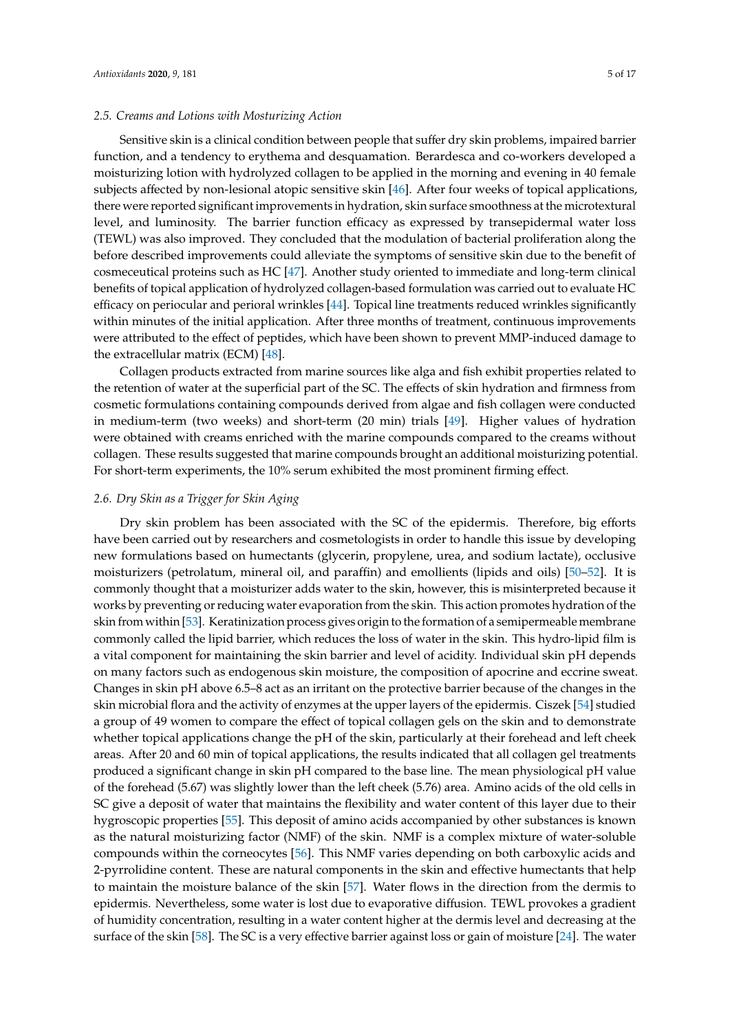# *2.5. Creams and Lotions with Mosturizing Action*

Sensitive skin is a clinical condition between people that suffer dry skin problems, impaired barrier function, and a tendency to erythema and desquamation. Berardesca and co-workers developed a moisturizing lotion with hydrolyzed collagen to be applied in the morning and evening in 40 female subjects affected by non-lesional atopic sensitive skin [\[46\]](#page-12-7). After four weeks of topical applications, there were reported significant improvements in hydration, skin surface smoothness at the microtextural level, and luminosity. The barrier function efficacy as expressed by transepidermal water loss (TEWL) was also improved. They concluded that the modulation of bacterial proliferation along the before described improvements could alleviate the symptoms of sensitive skin due to the benefit of cosmeceutical proteins such as HC [\[47\]](#page-12-8). Another study oriented to immediate and long-term clinical benefits of topical application of hydrolyzed collagen-based formulation was carried out to evaluate HC efficacy on periocular and perioral wrinkles [\[44\]](#page-12-5). Topical line treatments reduced wrinkles significantly within minutes of the initial application. After three months of treatment, continuous improvements were attributed to the effect of peptides, which have been shown to prevent MMP-induced damage to the extracellular matrix (ECM) [\[48\]](#page-12-9).

Collagen products extracted from marine sources like alga and fish exhibit properties related to the retention of water at the superficial part of the SC. The effects of skin hydration and firmness from cosmetic formulations containing compounds derived from algae and fish collagen were conducted in medium-term (two weeks) and short-term (20 min) trials [\[49\]](#page-12-10). Higher values of hydration were obtained with creams enriched with the marine compounds compared to the creams without collagen. These results suggested that marine compounds brought an additional moisturizing potential. For short-term experiments, the 10% serum exhibited the most prominent firming effect.

#### *2.6. Dry Skin as a Trigger for Skin Aging*

Dry skin problem has been associated with the SC of the epidermis. Therefore, big efforts have been carried out by researchers and cosmetologists in order to handle this issue by developing new formulations based on humectants (glycerin, propylene, urea, and sodium lactate), occlusive moisturizers (petrolatum, mineral oil, and paraffin) and emollients (lipids and oils) [\[50](#page-12-11)[–52\]](#page-12-12). It is commonly thought that a moisturizer adds water to the skin, however, this is misinterpreted because it works by preventing or reducing water evaporation from the skin. This action promotes hydration of the skin from within [\[53\]](#page-12-13). Keratinization process gives origin to the formation of a semipermeable membrane commonly called the lipid barrier, which reduces the loss of water in the skin. This hydro-lipid film is a vital component for maintaining the skin barrier and level of acidity. Individual skin pH depends on many factors such as endogenous skin moisture, the composition of apocrine and eccrine sweat. Changes in skin pH above 6.5–8 act as an irritant on the protective barrier because of the changes in the skin microbial flora and the activity of enzymes at the upper layers of the epidermis. Ciszek [\[54\]](#page-12-14) studied a group of 49 women to compare the effect of topical collagen gels on the skin and to demonstrate whether topical applications change the pH of the skin, particularly at their forehead and left cheek areas. After 20 and 60 min of topical applications, the results indicated that all collagen gel treatments produced a significant change in skin pH compared to the base line. The mean physiological pH value of the forehead (5.67) was slightly lower than the left cheek (5.76) area. Amino acids of the old cells in SC give a deposit of water that maintains the flexibility and water content of this layer due to their hygroscopic properties [\[55\]](#page-12-15). This deposit of amino acids accompanied by other substances is known as the natural moisturizing factor (NMF) of the skin. NMF is a complex mixture of water-soluble compounds within the corneocytes [\[56\]](#page-12-16). This NMF varies depending on both carboxylic acids and 2-pyrrolidine content. These are natural components in the skin and effective humectants that help to maintain the moisture balance of the skin [\[57\]](#page-12-17). Water flows in the direction from the dermis to epidermis. Nevertheless, some water is lost due to evaporative diffusion. TEWL provokes a gradient of humidity concentration, resulting in a water content higher at the dermis level and decreasing at the surface of the skin [\[58\]](#page-12-18). The SC is a very effective barrier against loss or gain of moisture [\[24\]](#page-11-8). The water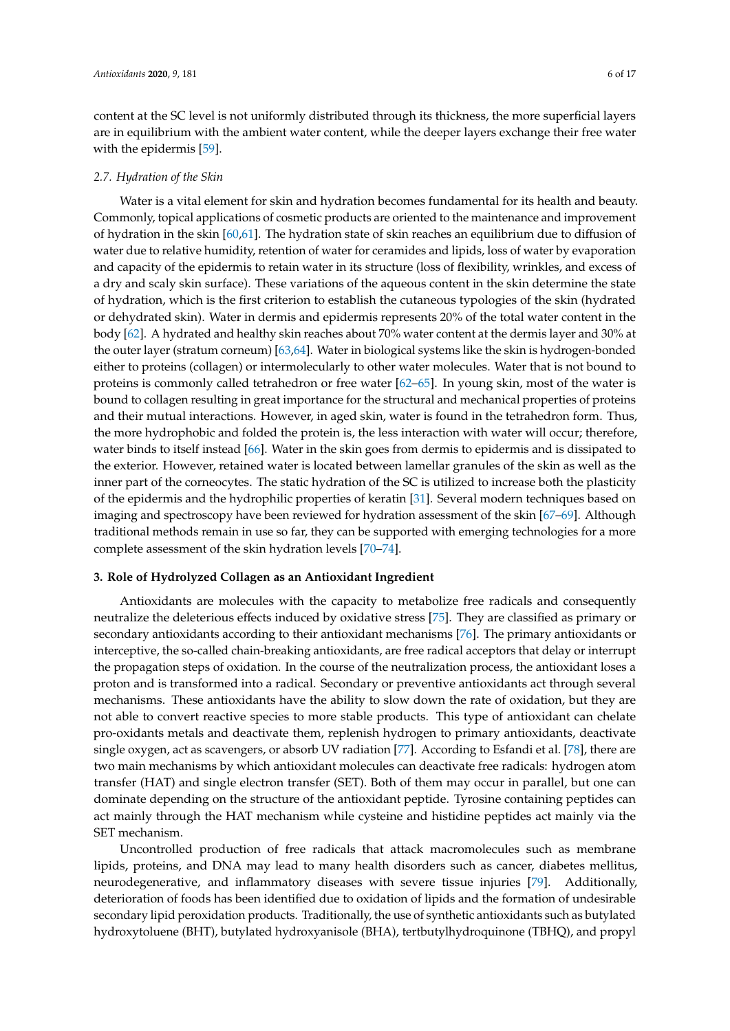content at the SC level is not uniformly distributed through its thickness, the more superficial layers are in equilibrium with the ambient water content, while the deeper layers exchange their free water with the epidermis [\[59\]](#page-12-19).

# *2.7. Hydration of the Skin*

Water is a vital element for skin and hydration becomes fundamental for its health and beauty. Commonly, topical applications of cosmetic products are oriented to the maintenance and improvement of hydration in the skin [\[60](#page-12-20)[,61\]](#page-12-21). The hydration state of skin reaches an equilibrium due to diffusion of water due to relative humidity, retention of water for ceramides and lipids, loss of water by evaporation and capacity of the epidermis to retain water in its structure (loss of flexibility, wrinkles, and excess of a dry and scaly skin surface). These variations of the aqueous content in the skin determine the state of hydration, which is the first criterion to establish the cutaneous typologies of the skin (hydrated or dehydrated skin). Water in dermis and epidermis represents 20% of the total water content in the body [\[62\]](#page-13-0). A hydrated and healthy skin reaches about 70% water content at the dermis layer and 30% at the outer layer (stratum corneum) [\[63,](#page-13-1)[64\]](#page-13-2). Water in biological systems like the skin is hydrogen-bonded either to proteins (collagen) or intermolecularly to other water molecules. Water that is not bound to proteins is commonly called tetrahedron or free water [\[62–](#page-13-0)[65\]](#page-13-3). In young skin, most of the water is bound to collagen resulting in great importance for the structural and mechanical properties of proteins and their mutual interactions. However, in aged skin, water is found in the tetrahedron form. Thus, the more hydrophobic and folded the protein is, the less interaction with water will occur; therefore, water binds to itself instead [\[66\]](#page-13-4). Water in the skin goes from dermis to epidermis and is dissipated to the exterior. However, retained water is located between lamellar granules of the skin as well as the inner part of the corneocytes. The static hydration of the SC is utilized to increase both the plasticity of the epidermis and the hydrophilic properties of keratin [\[31\]](#page-11-15). Several modern techniques based on imaging and spectroscopy have been reviewed for hydration assessment of the skin [\[67](#page-13-5)[–69\]](#page-13-6). Although traditional methods remain in use so far, they can be supported with emerging technologies for a more complete assessment of the skin hydration levels [\[70–](#page-13-7)[74\]](#page-13-8).

#### **3. Role of Hydrolyzed Collagen as an Antioxidant Ingredient**

Antioxidants are molecules with the capacity to metabolize free radicals and consequently neutralize the deleterious effects induced by oxidative stress [\[75\]](#page-13-9). They are classified as primary or secondary antioxidants according to their antioxidant mechanisms [\[76\]](#page-13-10). The primary antioxidants or interceptive, the so-called chain-breaking antioxidants, are free radical acceptors that delay or interrupt the propagation steps of oxidation. In the course of the neutralization process, the antioxidant loses a proton and is transformed into a radical. Secondary or preventive antioxidants act through several mechanisms. These antioxidants have the ability to slow down the rate of oxidation, but they are not able to convert reactive species to more stable products. This type of antioxidant can chelate pro-oxidants metals and deactivate them, replenish hydrogen to primary antioxidants, deactivate single oxygen, act as scavengers, or absorb UV radiation [\[77\]](#page-13-11). According to Esfandi et al. [\[78\]](#page-13-12), there are two main mechanisms by which antioxidant molecules can deactivate free radicals: hydrogen atom transfer (HAT) and single electron transfer (SET). Both of them may occur in parallel, but one can dominate depending on the structure of the antioxidant peptide. Tyrosine containing peptides can act mainly through the HAT mechanism while cysteine and histidine peptides act mainly via the SET mechanism.

Uncontrolled production of free radicals that attack macromolecules such as membrane lipids, proteins, and DNA may lead to many health disorders such as cancer, diabetes mellitus, neurodegenerative, and inflammatory diseases with severe tissue injuries [\[79\]](#page-13-13). Additionally, deterioration of foods has been identified due to oxidation of lipids and the formation of undesirable secondary lipid peroxidation products. Traditionally, the use of synthetic antioxidants such as butylated hydroxytoluene (BHT), butylated hydroxyanisole (BHA), tertbutylhydroquinone (TBHQ), and propyl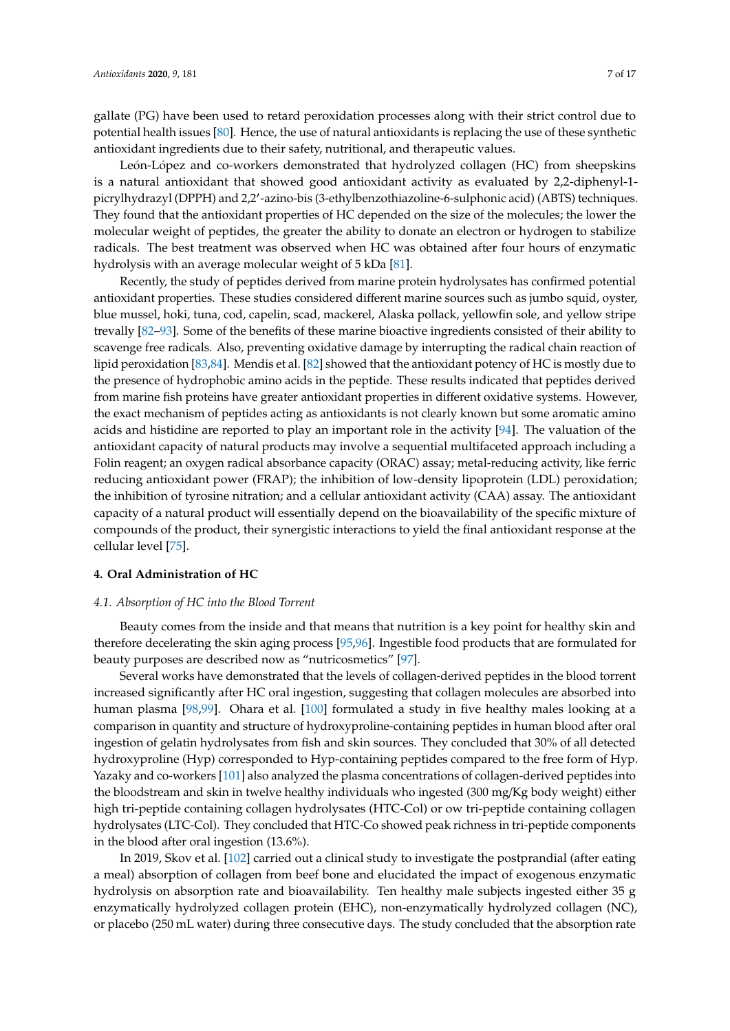gallate (PG) have been used to retard peroxidation processes along with their strict control due to potential health issues [\[80\]](#page-13-14). Hence, the use of natural antioxidants is replacing the use of these synthetic antioxidant ingredients due to their safety, nutritional, and therapeutic values.

León-López and co-workers demonstrated that hydrolyzed collagen (HC) from sheepskins is a natural antioxidant that showed good antioxidant activity as evaluated by 2,2-diphenyl-1 picrylhydrazyl (DPPH) and 2,2'-azino-bis (3-ethylbenzothiazoline-6-sulphonic acid) (ABTS) techniques. They found that the antioxidant properties of HC depended on the size of the molecules; the lower the molecular weight of peptides, the greater the ability to donate an electron or hydrogen to stabilize radicals. The best treatment was observed when HC was obtained after four hours of enzymatic hydrolysis with an average molecular weight of 5 kDa [\[81\]](#page-13-15).

Recently, the study of peptides derived from marine protein hydrolysates has confirmed potential antioxidant properties. These studies considered different marine sources such as jumbo squid, oyster, blue mussel, hoki, tuna, cod, capelin, scad, mackerel, Alaska pollack, yellowfin sole, and yellow stripe trevally [\[82–](#page-13-16)[93\]](#page-14-0). Some of the benefits of these marine bioactive ingredients consisted of their ability to scavenge free radicals. Also, preventing oxidative damage by interrupting the radical chain reaction of lipid peroxidation [\[83](#page-13-17)[,84\]](#page-13-18). Mendis et al. [\[82\]](#page-13-16) showed that the antioxidant potency of HC is mostly due to the presence of hydrophobic amino acids in the peptide. These results indicated that peptides derived from marine fish proteins have greater antioxidant properties in different oxidative systems. However, the exact mechanism of peptides acting as antioxidants is not clearly known but some aromatic amino acids and histidine are reported to play an important role in the activity [\[94\]](#page-14-1). The valuation of the antioxidant capacity of natural products may involve a sequential multifaceted approach including a Folin reagent; an oxygen radical absorbance capacity (ORAC) assay; metal-reducing activity, like ferric reducing antioxidant power (FRAP); the inhibition of low-density lipoprotein (LDL) peroxidation; the inhibition of tyrosine nitration; and a cellular antioxidant activity (CAA) assay. The antioxidant capacity of a natural product will essentially depend on the bioavailability of the specific mixture of compounds of the product, their synergistic interactions to yield the final antioxidant response at the cellular level [\[75\]](#page-13-9).

# **4. Oral Administration of HC**

# *4.1. Absorption of HC into the Blood Torrent*

Beauty comes from the inside and that means that nutrition is a key point for healthy skin and therefore decelerating the skin aging process [\[95,](#page-14-2)[96\]](#page-14-3). Ingestible food products that are formulated for beauty purposes are described now as "nutricosmetics" [\[97\]](#page-14-4).

Several works have demonstrated that the levels of collagen-derived peptides in the blood torrent increased significantly after HC oral ingestion, suggesting that collagen molecules are absorbed into human plasma [\[98](#page-14-5)[,99\]](#page-14-6). Ohara et al. [\[100\]](#page-14-7) formulated a study in five healthy males looking at a comparison in quantity and structure of hydroxyproline-containing peptides in human blood after oral ingestion of gelatin hydrolysates from fish and skin sources. They concluded that 30% of all detected hydroxyproline (Hyp) corresponded to Hyp-containing peptides compared to the free form of Hyp. Yazaky and co-workers [\[101\]](#page-14-8) also analyzed the plasma concentrations of collagen-derived peptides into the bloodstream and skin in twelve healthy individuals who ingested (300 mg/Kg body weight) either high tri-peptide containing collagen hydrolysates (HTC-Col) or ow tri-peptide containing collagen hydrolysates (LTC-Col). They concluded that HTC-Co showed peak richness in tri-peptide components in the blood after oral ingestion (13.6%).

In 2019, Skov et al. [\[102\]](#page-14-9) carried out a clinical study to investigate the postprandial (after eating a meal) absorption of collagen from beef bone and elucidated the impact of exogenous enzymatic hydrolysis on absorption rate and bioavailability. Ten healthy male subjects ingested either 35 g enzymatically hydrolyzed collagen protein (EHC), non-enzymatically hydrolyzed collagen (NC), or placebo (250 mL water) during three consecutive days. The study concluded that the absorption rate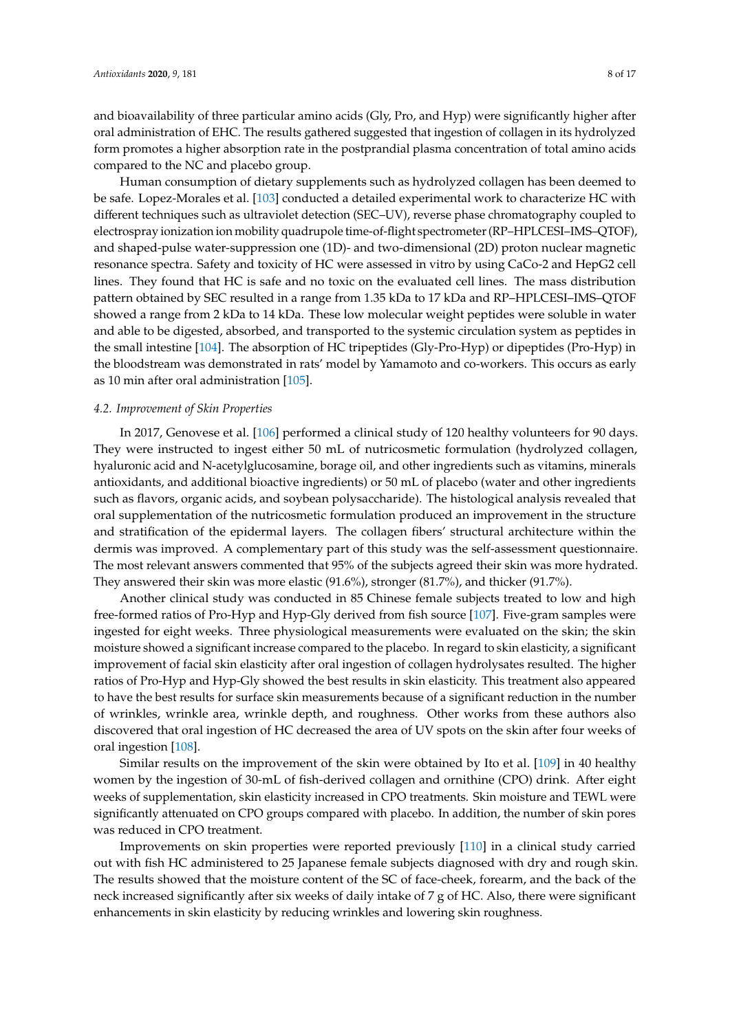and bioavailability of three particular amino acids (Gly, Pro, and Hyp) were significantly higher after oral administration of EHC. The results gathered suggested that ingestion of collagen in its hydrolyzed form promotes a higher absorption rate in the postprandial plasma concentration of total amino acids compared to the NC and placebo group.

Human consumption of dietary supplements such as hydrolyzed collagen has been deemed to be safe. Lopez-Morales et al. [\[103\]](#page-14-10) conducted a detailed experimental work to characterize HC with different techniques such as ultraviolet detection (SEC–UV), reverse phase chromatography coupled to electrospray ionization ion mobility quadrupole time-of-flight spectrometer (RP–HPLCESI–IMS–QTOF), and shaped-pulse water-suppression one (1D)- and two-dimensional (2D) proton nuclear magnetic resonance spectra. Safety and toxicity of HC were assessed in vitro by using CaCo-2 and HepG2 cell lines. They found that HC is safe and no toxic on the evaluated cell lines. The mass distribution pattern obtained by SEC resulted in a range from 1.35 kDa to 17 kDa and RP–HPLCESI–IMS–QTOF showed a range from 2 kDa to 14 kDa. These low molecular weight peptides were soluble in water and able to be digested, absorbed, and transported to the systemic circulation system as peptides in the small intestine [\[104\]](#page-15-0). The absorption of HC tripeptides (Gly-Pro-Hyp) or dipeptides (Pro-Hyp) in the bloodstream was demonstrated in rats' model by Yamamoto and co-workers. This occurs as early as 10 min after oral administration [\[105\]](#page-15-1).

# *4.2. Improvement of Skin Properties*

In 2017, Genovese et al. [\[106\]](#page-15-2) performed a clinical study of 120 healthy volunteers for 90 days. They were instructed to ingest either 50 mL of nutricosmetic formulation (hydrolyzed collagen, hyaluronic acid and N-acetylglucosamine, borage oil, and other ingredients such as vitamins, minerals antioxidants, and additional bioactive ingredients) or 50 mL of placebo (water and other ingredients such as flavors, organic acids, and soybean polysaccharide). The histological analysis revealed that oral supplementation of the nutricosmetic formulation produced an improvement in the structure and stratification of the epidermal layers. The collagen fibers' structural architecture within the dermis was improved. A complementary part of this study was the self-assessment questionnaire. The most relevant answers commented that 95% of the subjects agreed their skin was more hydrated. They answered their skin was more elastic (91.6%), stronger (81.7%), and thicker (91.7%).

Another clinical study was conducted in 85 Chinese female subjects treated to low and high free-formed ratios of Pro-Hyp and Hyp-Gly derived from fish source [\[107\]](#page-15-3). Five-gram samples were ingested for eight weeks. Three physiological measurements were evaluated on the skin; the skin moisture showed a significant increase compared to the placebo. In regard to skin elasticity, a significant improvement of facial skin elasticity after oral ingestion of collagen hydrolysates resulted. The higher ratios of Pro-Hyp and Hyp-Gly showed the best results in skin elasticity. This treatment also appeared to have the best results for surface skin measurements because of a significant reduction in the number of wrinkles, wrinkle area, wrinkle depth, and roughness. Other works from these authors also discovered that oral ingestion of HC decreased the area of UV spots on the skin after four weeks of oral ingestion [\[108\]](#page-15-4).

Similar results on the improvement of the skin were obtained by Ito et al. [\[109\]](#page-15-5) in 40 healthy women by the ingestion of 30-mL of fish-derived collagen and ornithine (CPO) drink. After eight weeks of supplementation, skin elasticity increased in CPO treatments. Skin moisture and TEWL were significantly attenuated on CPO groups compared with placebo. In addition, the number of skin pores was reduced in CPO treatment.

Improvements on skin properties were reported previously [\[110\]](#page-15-6) in a clinical study carried out with fish HC administered to 25 Japanese female subjects diagnosed with dry and rough skin. The results showed that the moisture content of the SC of face-cheek, forearm, and the back of the neck increased significantly after six weeks of daily intake of 7 g of HC. Also, there were significant enhancements in skin elasticity by reducing wrinkles and lowering skin roughness.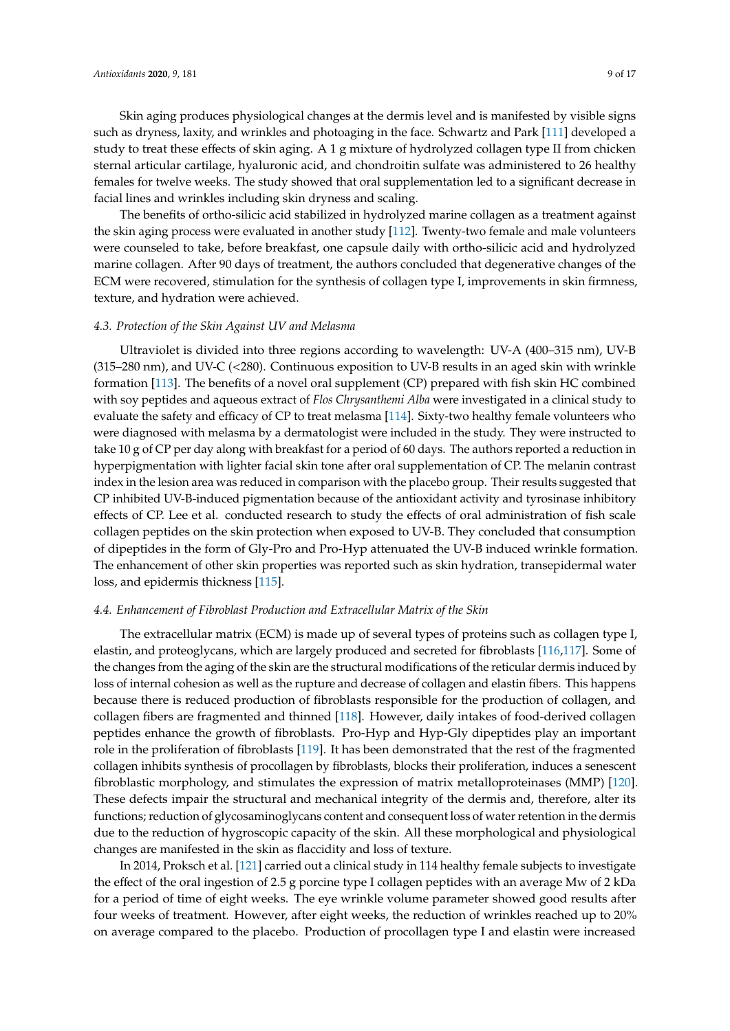Skin aging produces physiological changes at the dermis level and is manifested by visible signs such as dryness, laxity, and wrinkles and photoaging in the face. Schwartz and Park [\[111\]](#page-15-7) developed a study to treat these effects of skin aging. A 1 g mixture of hydrolyzed collagen type II from chicken sternal articular cartilage, hyaluronic acid, and chondroitin sulfate was administered to 26 healthy females for twelve weeks. The study showed that oral supplementation led to a significant decrease in facial lines and wrinkles including skin dryness and scaling.

The benefits of ortho-silicic acid stabilized in hydrolyzed marine collagen as a treatment against the skin aging process were evaluated in another study [\[112\]](#page-15-8). Twenty-two female and male volunteers were counseled to take, before breakfast, one capsule daily with ortho-silicic acid and hydrolyzed marine collagen. After 90 days of treatment, the authors concluded that degenerative changes of the ECM were recovered, stimulation for the synthesis of collagen type I, improvements in skin firmness, texture, and hydration were achieved.

# *4.3. Protection of the Skin Against UV and Melasma*

Ultraviolet is divided into three regions according to wavelength: UV-A (400–315 nm), UV-B (315–280 nm), and UV-C (<280). Continuous exposition to UV-B results in an aged skin with wrinkle formation [\[113\]](#page-15-9). The benefits of a novel oral supplement (CP) prepared with fish skin HC combined with soy peptides and aqueous extract of *Flos Chrysanthemi Alba* were investigated in a clinical study to evaluate the safety and efficacy of CP to treat melasma [\[114\]](#page-15-10). Sixty-two healthy female volunteers who were diagnosed with melasma by a dermatologist were included in the study. They were instructed to take 10 g of CP per day along with breakfast for a period of 60 days. The authors reported a reduction in hyperpigmentation with lighter facial skin tone after oral supplementation of CP. The melanin contrast index in the lesion area was reduced in comparison with the placebo group. Their results suggested that CP inhibited UV-B-induced pigmentation because of the antioxidant activity and tyrosinase inhibitory effects of CP. Lee et al. conducted research to study the effects of oral administration of fish scale collagen peptides on the skin protection when exposed to UV-B. They concluded that consumption of dipeptides in the form of Gly-Pro and Pro-Hyp attenuated the UV-B induced wrinkle formation. The enhancement of other skin properties was reported such as skin hydration, transepidermal water loss, and epidermis thickness [\[115\]](#page-15-11).

#### *4.4. Enhancement of Fibroblast Production and Extracellular Matrix of the Skin*

The extracellular matrix (ECM) is made up of several types of proteins such as collagen type I, elastin, and proteoglycans, which are largely produced and secreted for fibroblasts [\[116](#page-15-12)[,117\]](#page-15-13). Some of the changes from the aging of the skin are the structural modifications of the reticular dermis induced by loss of internal cohesion as well as the rupture and decrease of collagen and elastin fibers. This happens because there is reduced production of fibroblasts responsible for the production of collagen, and collagen fibers are fragmented and thinned [\[118\]](#page-15-14). However, daily intakes of food-derived collagen peptides enhance the growth of fibroblasts. Pro-Hyp and Hyp-Gly dipeptides play an important role in the proliferation of fibroblasts [\[119\]](#page-15-15). It has been demonstrated that the rest of the fragmented collagen inhibits synthesis of procollagen by fibroblasts, blocks their proliferation, induces a senescent fibroblastic morphology, and stimulates the expression of matrix metalloproteinases (MMP) [\[120\]](#page-15-16). These defects impair the structural and mechanical integrity of the dermis and, therefore, alter its functions; reduction of glycosaminoglycans content and consequent loss of water retention in the dermis due to the reduction of hygroscopic capacity of the skin. All these morphological and physiological changes are manifested in the skin as flaccidity and loss of texture.

In 2014, Proksch et al. [\[121\]](#page-15-17) carried out a clinical study in 114 healthy female subjects to investigate the effect of the oral ingestion of 2.5 g porcine type I collagen peptides with an average Mw of 2 kDa for a period of time of eight weeks. The eye wrinkle volume parameter showed good results after four weeks of treatment. However, after eight weeks, the reduction of wrinkles reached up to 20% on average compared to the placebo. Production of procollagen type I and elastin were increased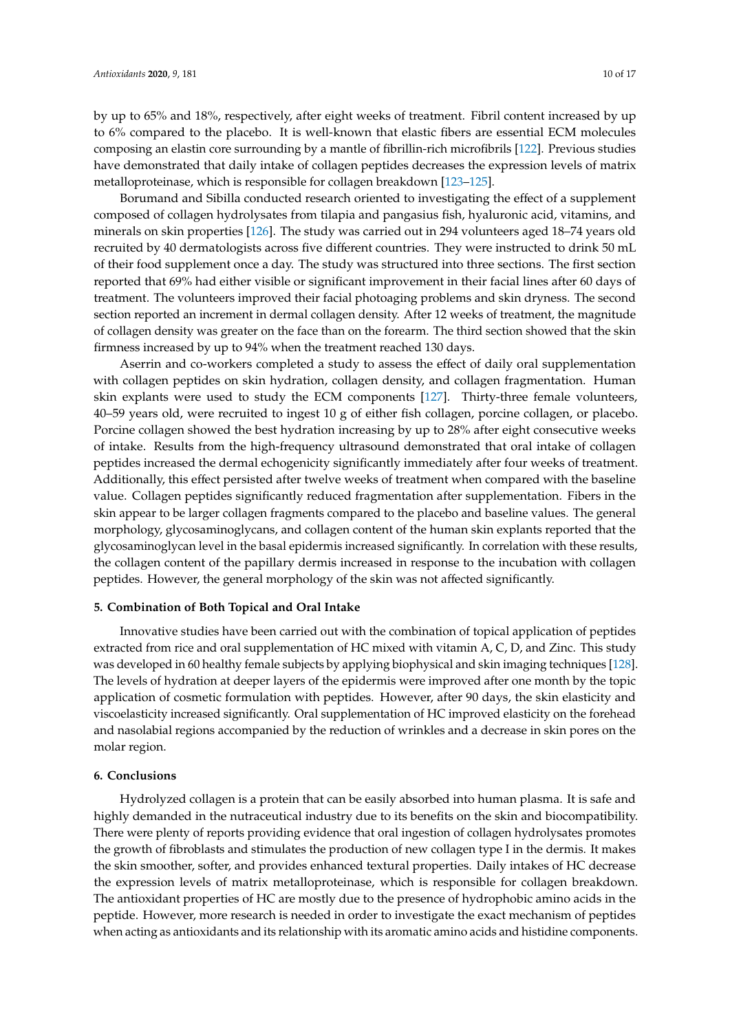by up to 65% and 18%, respectively, after eight weeks of treatment. Fibril content increased by up to 6% compared to the placebo. It is well-known that elastic fibers are essential ECM molecules composing an elastin core surrounding by a mantle of fibrillin-rich microfibrils [\[122\]](#page-15-18). Previous studies have demonstrated that daily intake of collagen peptides decreases the expression levels of matrix metalloproteinase, which is responsible for collagen breakdown [\[123–](#page-16-0)[125\]](#page-16-1).

Borumand and Sibilla conducted research oriented to investigating the effect of a supplement composed of collagen hydrolysates from tilapia and pangasius fish, hyaluronic acid, vitamins, and minerals on skin properties [\[126\]](#page-16-2). The study was carried out in 294 volunteers aged 18–74 years old recruited by 40 dermatologists across five different countries. They were instructed to drink 50 mL of their food supplement once a day. The study was structured into three sections. The first section reported that 69% had either visible or significant improvement in their facial lines after 60 days of treatment. The volunteers improved their facial photoaging problems and skin dryness. The second section reported an increment in dermal collagen density. After 12 weeks of treatment, the magnitude of collagen density was greater on the face than on the forearm. The third section showed that the skin firmness increased by up to 94% when the treatment reached 130 days.

Aserrin and co-workers completed a study to assess the effect of daily oral supplementation with collagen peptides on skin hydration, collagen density, and collagen fragmentation. Human skin explants were used to study the ECM components [\[127\]](#page-16-3). Thirty-three female volunteers, 40–59 years old, were recruited to ingest 10 g of either fish collagen, porcine collagen, or placebo. Porcine collagen showed the best hydration increasing by up to 28% after eight consecutive weeks of intake. Results from the high-frequency ultrasound demonstrated that oral intake of collagen peptides increased the dermal echogenicity significantly immediately after four weeks of treatment. Additionally, this effect persisted after twelve weeks of treatment when compared with the baseline value. Collagen peptides significantly reduced fragmentation after supplementation. Fibers in the skin appear to be larger collagen fragments compared to the placebo and baseline values. The general morphology, glycosaminoglycans, and collagen content of the human skin explants reported that the glycosaminoglycan level in the basal epidermis increased significantly. In correlation with these results, the collagen content of the papillary dermis increased in response to the incubation with collagen peptides. However, the general morphology of the skin was not affected significantly.

# **5. Combination of Both Topical and Oral Intake**

Innovative studies have been carried out with the combination of topical application of peptides extracted from rice and oral supplementation of HC mixed with vitamin A, C, D, and Zinc. This study was developed in 60 healthy female subjects by applying biophysical and skin imaging techniques [\[128\]](#page-16-4). The levels of hydration at deeper layers of the epidermis were improved after one month by the topic application of cosmetic formulation with peptides. However, after 90 days, the skin elasticity and viscoelasticity increased significantly. Oral supplementation of HC improved elasticity on the forehead and nasolabial regions accompanied by the reduction of wrinkles and a decrease in skin pores on the molar region.

#### **6. Conclusions**

Hydrolyzed collagen is a protein that can be easily absorbed into human plasma. It is safe and highly demanded in the nutraceutical industry due to its benefits on the skin and biocompatibility. There were plenty of reports providing evidence that oral ingestion of collagen hydrolysates promotes the growth of fibroblasts and stimulates the production of new collagen type I in the dermis. It makes the skin smoother, softer, and provides enhanced textural properties. Daily intakes of HC decrease the expression levels of matrix metalloproteinase, which is responsible for collagen breakdown. The antioxidant properties of HC are mostly due to the presence of hydrophobic amino acids in the peptide. However, more research is needed in order to investigate the exact mechanism of peptides when acting as antioxidants and its relationship with its aromatic amino acids and histidine components.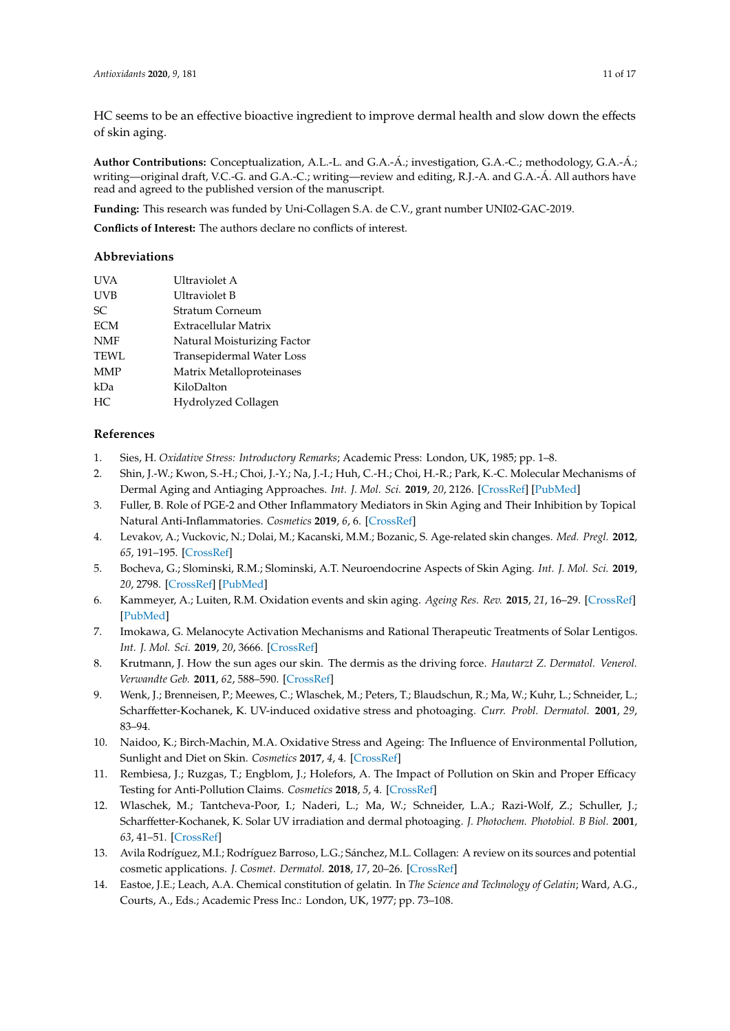HC seems to be an effective bioactive ingredient to improve dermal health and slow down the effects of skin aging.

**Author Contributions:** Conceptualization, A.L.-L. and G.A.-Á.; investigation, G.A.-C.; methodology, G.A.-Á.; writing—original draft, V.C.-G. and G.A.-C.; writing—review and editing, R.J.-A. and G.A.-Á. All authors have read and agreed to the published version of the manuscript.

**Funding:** This research was funded by Uni-Collagen S.A. de C.V., grant number UNI02-GAC-2019.

**Conflicts of Interest:** The authors declare no conflicts of interest.

## **Abbreviations**

| UVA         | Ultraviolet A               |
|-------------|-----------------------------|
| <b>UVB</b>  | Ultraviolet B               |
| SC          | <b>Stratum Corneum</b>      |
| ECM         | Extracellular Matrix        |
| NMF         | Natural Moisturizing Factor |
| <b>TEWL</b> | Transepidermal Water Loss   |
| <b>MMP</b>  | Matrix Metalloproteinases   |
| kDa         | KiloDalton                  |
| HС          | Hydrolyzed Collagen         |
|             |                             |

# **References**

- <span id="page-10-0"></span>1. Sies, H. *Oxidative Stress: Introductory Remarks*; Academic Press: London, UK, 1985; pp. 1–8.
- <span id="page-10-1"></span>2. Shin, J.-W.; Kwon, S.-H.; Choi, J.-Y.; Na, J.-I.; Huh, C.-H.; Choi, H.-R.; Park, K.-C. Molecular Mechanisms of Dermal Aging and Antiaging Approaches. *Int. J. Mol. Sci.* **2019**, *20*, 2126. [\[CrossRef\]](http://dx.doi.org/10.3390/ijms20092126) [\[PubMed\]](http://www.ncbi.nlm.nih.gov/pubmed/31036793)
- <span id="page-10-2"></span>3. Fuller, B. Role of PGE-2 and Other Inflammatory Mediators in Skin Aging and Their Inhibition by Topical Natural Anti-Inflammatories. *Cosmetics* **2019**, *6*, 6. [\[CrossRef\]](http://dx.doi.org/10.3390/cosmetics6010006)
- <span id="page-10-3"></span>4. Levakov, A.; Vuckovic, N.; Dolai, M.; Kacanski, M.M.; Bozanic, S. Age-related skin changes. *Med. Pregl.* **2012**, *65*, 191–195. [\[CrossRef\]](http://dx.doi.org/10.2298/MPNS1206191L)
- <span id="page-10-4"></span>5. Bocheva, G.; Slominski, R.M.; Slominski, A.T. Neuroendocrine Aspects of Skin Aging. *Int. J. Mol. Sci.* **2019**, *20*, 2798. [\[CrossRef\]](http://dx.doi.org/10.3390/ijms20112798) [\[PubMed\]](http://www.ncbi.nlm.nih.gov/pubmed/31181682)
- <span id="page-10-5"></span>6. Kammeyer, A.; Luiten, R.M. Oxidation events and skin aging. *Ageing Res. Rev.* **2015**, *21*, 16–29. [\[CrossRef\]](http://dx.doi.org/10.1016/j.arr.2015.01.001) [\[PubMed\]](http://www.ncbi.nlm.nih.gov/pubmed/25653189)
- 7. Imokawa, G. Melanocyte Activation Mechanisms and Rational Therapeutic Treatments of Solar Lentigos. *Int. J. Mol. Sci.* **2019**, *20*, 3666. [\[CrossRef\]](http://dx.doi.org/10.3390/ijms20153666)
- 8. Krutmann, J. How the sun ages our skin. The dermis as the driving force. *Hautarzt Z. Dermatol. Venerol. Verwandte Geb.* **2011**, *62*, 588–590. [\[CrossRef\]](http://dx.doi.org/10.1007/s00105-011-2132-y)
- <span id="page-10-6"></span>9. Wenk, J.; Brenneisen, P.; Meewes, C.; Wlaschek, M.; Peters, T.; Blaudschun, R.; Ma, W.; Kuhr, L.; Schneider, L.; Scharffetter-Kochanek, K. UV-induced oxidative stress and photoaging. *Curr. Probl. Dermatol.* **2001**, *29*, 83–94.
- <span id="page-10-7"></span>10. Naidoo, K.; Birch-Machin, M.A. Oxidative Stress and Ageing: The Influence of Environmental Pollution, Sunlight and Diet on Skin. *Cosmetics* **2017**, *4*, 4. [\[CrossRef\]](http://dx.doi.org/10.3390/cosmetics4010004)
- <span id="page-10-8"></span>11. Rembiesa, J.; Ruzgas, T.; Engblom, J.; Holefors, A. The Impact of Pollution on Skin and Proper Efficacy Testing for Anti-Pollution Claims. *Cosmetics* **2018**, *5*, 4. [\[CrossRef\]](http://dx.doi.org/10.3390/cosmetics5010004)
- <span id="page-10-9"></span>12. Wlaschek, M.; Tantcheva-Poor, I.; Naderi, L.; Ma, W.; Schneider, L.A.; Razi-Wolf, Z.; Schuller, J.; Scharffetter-Kochanek, K. Solar UV irradiation and dermal photoaging. *J. Photochem. Photobiol. B Biol.* **2001**, *63*, 41–51. [\[CrossRef\]](http://dx.doi.org/10.1016/S1011-1344(01)00201-9)
- <span id="page-10-10"></span>13. Avila Rodríguez, M.I.; Rodríguez Barroso, L.G.; Sánchez, M.L. Collagen: A review on its sources and potential cosmetic applications. *J. Cosmet. Dermatol.* **2018**, *17*, 20–26. [\[CrossRef\]](http://dx.doi.org/10.1111/jocd.12450)
- <span id="page-10-11"></span>14. Eastoe, J.E.; Leach, A.A. Chemical constitution of gelatin. In *The Science and Technology of Gelatin*; Ward, A.G., Courts, A., Eds.; Academic Press Inc.: London, UK, 1977; pp. 73–108.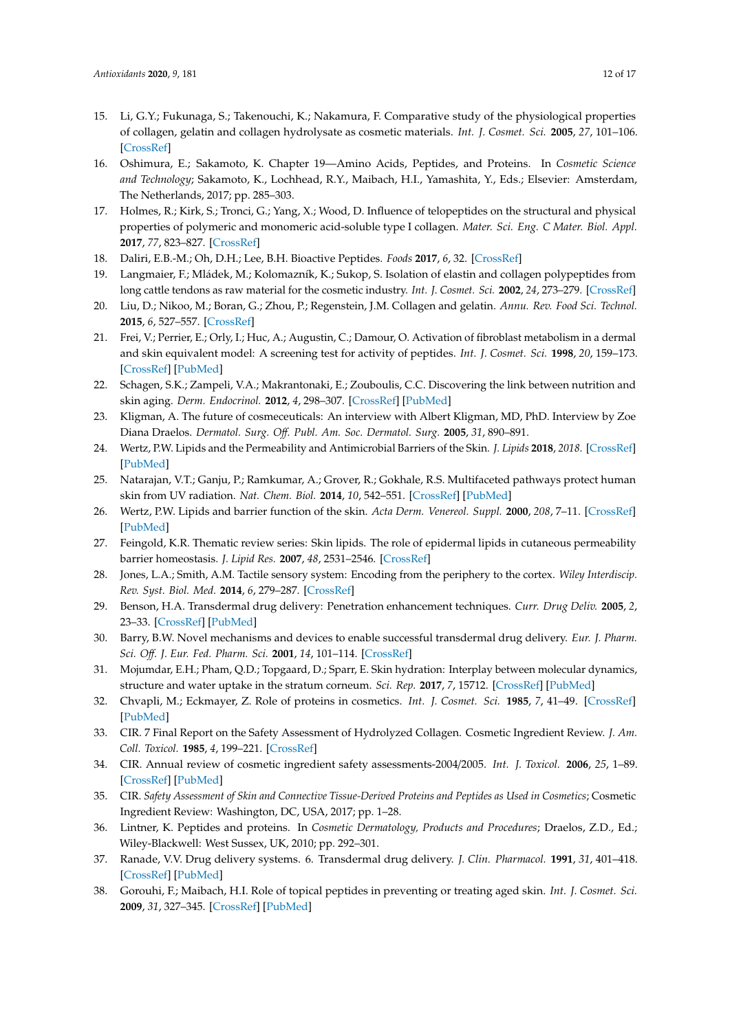- <span id="page-11-0"></span>15. Li, G.Y.; Fukunaga, S.; Takenouchi, K.; Nakamura, F. Comparative study of the physiological properties of collagen, gelatin and collagen hydrolysate as cosmetic materials. *Int. J. Cosmet. Sci.* **2005**, *27*, 101–106. [\[CrossRef\]](http://dx.doi.org/10.1111/j.1467-2494.2004.00251.x)
- <span id="page-11-1"></span>16. Oshimura, E.; Sakamoto, K. Chapter 19—Amino Acids, Peptides, and Proteins. In *Cosmetic Science and Technology*; Sakamoto, K., Lochhead, R.Y., Maibach, H.I., Yamashita, Y., Eds.; Elsevier: Amsterdam, The Netherlands, 2017; pp. 285–303.
- <span id="page-11-2"></span>17. Holmes, R.; Kirk, S.; Tronci, G.; Yang, X.; Wood, D. Influence of telopeptides on the structural and physical properties of polymeric and monomeric acid-soluble type I collagen. *Mater. Sci. Eng. C Mater. Biol. Appl.* **2017**, *77*, 823–827. [\[CrossRef\]](http://dx.doi.org/10.1016/j.msec.2017.03.267)
- 18. Daliri, E.B.-M.; Oh, D.H.; Lee, B.H. Bioactive Peptides. *Foods* **2017**, *6*, 32. [\[CrossRef\]](http://dx.doi.org/10.3390/foods6050032)
- <span id="page-11-3"></span>19. Langmaier, F.; Mládek, M.; Kolomazník, K.; Sukop, S. Isolation of elastin and collagen polypeptides from long cattle tendons as raw material for the cosmetic industry. *Int. J. Cosmet. Sci.* **2002**, *24*, 273–279. [\[CrossRef\]](http://dx.doi.org/10.1046/j.1467-2494.2002.00151.x)
- <span id="page-11-4"></span>20. Liu, D.; Nikoo, M.; Boran, G.; Zhou, P.; Regenstein, J.M. Collagen and gelatin. *Annu. Rev. Food Sci. Technol.* **2015**, *6*, 527–557. [\[CrossRef\]](http://dx.doi.org/10.1146/annurev-food-031414-111800)
- <span id="page-11-5"></span>21. Frei, V.; Perrier, E.; Orly, I.; Huc, A.; Augustin, C.; Damour, O. Activation of fibroblast metabolism in a dermal and skin equivalent model: A screening test for activity of peptides. *Int. J. Cosmet. Sci.* **1998**, *20*, 159–173. [\[CrossRef\]](http://dx.doi.org/10.1046/j.1467-2494.1998.171748.x) [\[PubMed\]](http://www.ncbi.nlm.nih.gov/pubmed/18505500)
- <span id="page-11-6"></span>22. Schagen, S.K.; Zampeli, V.A.; Makrantonaki, E.; Zouboulis, C.C. Discovering the link between nutrition and skin aging. *Derm. Endocrinol.* **2012**, *4*, 298–307. [\[CrossRef\]](http://dx.doi.org/10.4161/derm.22876) [\[PubMed\]](http://www.ncbi.nlm.nih.gov/pubmed/23467449)
- <span id="page-11-7"></span>23. Kligman, A. The future of cosmeceuticals: An interview with Albert Kligman, MD, PhD. Interview by Zoe Diana Draelos. *Dermatol. Surg. O*ff*. Publ. Am. Soc. Dermatol. Surg.* **2005**, *31*, 890–891.
- <span id="page-11-8"></span>24. Wertz, P.W. Lipids and the Permeability and Antimicrobial Barriers of the Skin. *J. Lipids* **2018**, *2018*. [\[CrossRef\]](http://dx.doi.org/10.1155/2018/5954034) [\[PubMed\]](http://www.ncbi.nlm.nih.gov/pubmed/30245886)
- <span id="page-11-9"></span>25. Natarajan, V.T.; Ganju, P.; Ramkumar, A.; Grover, R.; Gokhale, R.S. Multifaceted pathways protect human skin from UV radiation. *Nat. Chem. Biol.* **2014**, *10*, 542–551. [\[CrossRef\]](http://dx.doi.org/10.1038/nchembio.1548) [\[PubMed\]](http://www.ncbi.nlm.nih.gov/pubmed/24937072)
- <span id="page-11-10"></span>26. Wertz, P.W. Lipids and barrier function of the skin. *Acta Derm. Venereol. Suppl.* **2000**, *208*, 7–11. [\[CrossRef\]](http://dx.doi.org/10.1080/000155500750042790) [\[PubMed\]](http://www.ncbi.nlm.nih.gov/pubmed/10884933)
- <span id="page-11-11"></span>27. Feingold, K.R. Thematic review series: Skin lipids. The role of epidermal lipids in cutaneous permeability barrier homeostasis. *J. Lipid Res.* **2007**, *48*, 2531–2546. [\[CrossRef\]](http://dx.doi.org/10.1194/jlr.R700013-JLR200)
- <span id="page-11-12"></span>28. Jones, L.A.; Smith, A.M. Tactile sensory system: Encoding from the periphery to the cortex. *Wiley Interdiscip. Rev. Syst. Biol. Med.* **2014**, *6*, 279–287. [\[CrossRef\]](http://dx.doi.org/10.1002/wsbm.1267)
- <span id="page-11-13"></span>29. Benson, H.A. Transdermal drug delivery: Penetration enhancement techniques. *Curr. Drug Deliv.* **2005**, *2*, 23–33. [\[CrossRef\]](http://dx.doi.org/10.2174/1567201052772915) [\[PubMed\]](http://www.ncbi.nlm.nih.gov/pubmed/16305405)
- <span id="page-11-14"></span>30. Barry, B.W. Novel mechanisms and devices to enable successful transdermal drug delivery. *Eur. J. Pharm. Sci. O*ff*. J. Eur. Fed. Pharm. Sci.* **2001**, *14*, 101–114. [\[CrossRef\]](http://dx.doi.org/10.1016/S0928-0987(01)00167-1)
- <span id="page-11-15"></span>31. Mojumdar, E.H.; Pham, Q.D.; Topgaard, D.; Sparr, E. Skin hydration: Interplay between molecular dynamics, structure and water uptake in the stratum corneum. *Sci. Rep.* **2017**, *7*, 15712. [\[CrossRef\]](http://dx.doi.org/10.1038/s41598-017-15921-5) [\[PubMed\]](http://www.ncbi.nlm.nih.gov/pubmed/29146971)
- <span id="page-11-16"></span>32. Chvapli, M.; Eckmayer, Z. Role of proteins in cosmetics. *Int. J. Cosmet. Sci.* **1985**, *7*, 41–49. [\[CrossRef\]](http://dx.doi.org/10.1111/j.1467-2494.1985.tb00395.x) [\[PubMed\]](http://www.ncbi.nlm.nih.gov/pubmed/19460013)
- <span id="page-11-17"></span>33. CIR. 7 Final Report on the Safety Assessment of Hydrolyzed Collagen. Cosmetic Ingredient Review. *J. Am. Coll. Toxicol.* **1985**, *4*, 199–221. [\[CrossRef\]](http://dx.doi.org/10.3109/10915818509078691)
- <span id="page-11-18"></span>34. CIR. Annual review of cosmetic ingredient safety assessments-2004/2005. *Int. J. Toxicol.* **2006**, *25*, 1–89. [\[CrossRef\]](http://dx.doi.org/10.1080/10915810600964618) [\[PubMed\]](http://www.ncbi.nlm.nih.gov/pubmed/17090479)
- <span id="page-11-19"></span>35. CIR. *Safety Assessment of Skin and Connective Tissue-Derived Proteins and Peptides as Used in Cosmetics*; Cosmetic Ingredient Review: Washington, DC, USA, 2017; pp. 1–28.
- <span id="page-11-20"></span>36. Lintner, K. Peptides and proteins. In *Cosmetic Dermatology, Products and Procedures*; Draelos, Z.D., Ed.; Wiley-Blackwell: West Sussex, UK, 2010; pp. 292–301.
- <span id="page-11-21"></span>37. Ranade, V.V. Drug delivery systems. 6. Transdermal drug delivery. *J. Clin. Pharmacol.* **1991**, *31*, 401–418. [\[CrossRef\]](http://dx.doi.org/10.1002/j.1552-4604.1991.tb01895.x) [\[PubMed\]](http://www.ncbi.nlm.nih.gov/pubmed/2050824)
- <span id="page-11-22"></span>38. Gorouhi, F.; Maibach, H.I. Role of topical peptides in preventing or treating aged skin. *Int. J. Cosmet. Sci.* **2009**, *31*, 327–345. [\[CrossRef\]](http://dx.doi.org/10.1111/j.1468-2494.2009.00490.x) [\[PubMed\]](http://www.ncbi.nlm.nih.gov/pubmed/19570099)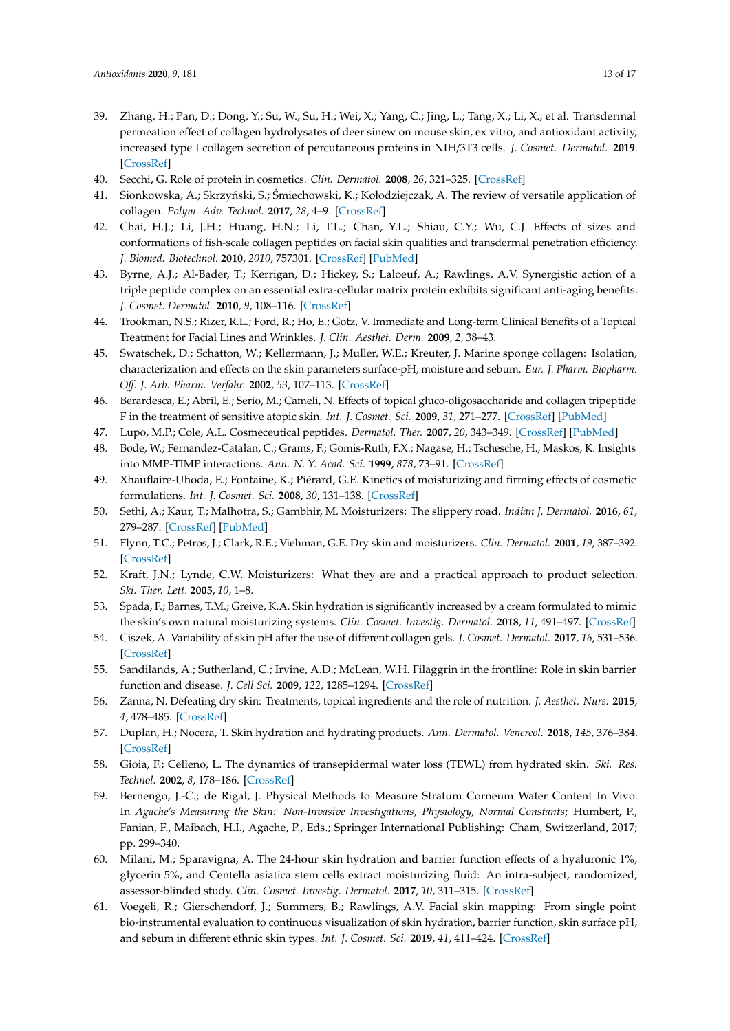- <span id="page-12-0"></span>39. Zhang, H.; Pan, D.; Dong, Y.; Su, W.; Su, H.; Wei, X.; Yang, C.; Jing, L.; Tang, X.; Li, X.; et al. Transdermal permeation effect of collagen hydrolysates of deer sinew on mouse skin, ex vitro, and antioxidant activity, increased type I collagen secretion of percutaneous proteins in NIH/3T3 cells. *J. Cosmet. Dermatol.* **2019**. [\[CrossRef\]](http://dx.doi.org/10.1111/jocd.13041)
- <span id="page-12-1"></span>40. Secchi, G. Role of protein in cosmetics. *Clin. Dermatol.* **2008**, *26*, 321–325. [\[CrossRef\]](http://dx.doi.org/10.1016/j.clindermatol.2008.04.004)
- <span id="page-12-2"></span>41. Sionkowska, A.; Skrzyński, S.; Śmiechowski, K.; Kołodziejczak, A. The review of versatile application of collagen. *Polym. Adv. Technol.* **2017**, *28*, 4–9. [\[CrossRef\]](http://dx.doi.org/10.1002/pat.3842)
- <span id="page-12-3"></span>42. Chai, H.J.; Li, J.H.; Huang, H.N.; Li, T.L.; Chan, Y.L.; Shiau, C.Y.; Wu, C.J. Effects of sizes and conformations of fish-scale collagen peptides on facial skin qualities and transdermal penetration efficiency. *J. Biomed. Biotechnol.* **2010**, *2010*, 757301. [\[CrossRef\]](http://dx.doi.org/10.1155/2010/757301) [\[PubMed\]](http://www.ncbi.nlm.nih.gov/pubmed/20625414)
- <span id="page-12-4"></span>43. Byrne, A.J.; Al-Bader, T.; Kerrigan, D.; Hickey, S.; Laloeuf, A.; Rawlings, A.V. Synergistic action of a triple peptide complex on an essential extra-cellular matrix protein exhibits significant anti-aging benefits. *J. Cosmet. Dermatol.* **2010**, *9*, 108–116. [\[CrossRef\]](http://dx.doi.org/10.1111/j.1473-2165.2010.00494.x)
- <span id="page-12-5"></span>44. Trookman, N.S.; Rizer, R.L.; Ford, R.; Ho, E.; Gotz, V. Immediate and Long-term Clinical Benefits of a Topical Treatment for Facial Lines and Wrinkles. *J. Clin. Aesthet. Derm.* **2009**, *2*, 38–43.
- <span id="page-12-6"></span>45. Swatschek, D.; Schatton, W.; Kellermann, J.; Muller, W.E.; Kreuter, J. Marine sponge collagen: Isolation, characterization and effects on the skin parameters surface-pH, moisture and sebum. *Eur. J. Pharm. Biopharm. O*ff*. J. Arb. Pharm. Verfahr.* **2002**, *53*, 107–113. [\[CrossRef\]](http://dx.doi.org/10.1016/S0939-6411(01)00192-8)
- <span id="page-12-7"></span>46. Berardesca, E.; Abril, E.; Serio, M.; Cameli, N. Effects of topical gluco-oligosaccharide and collagen tripeptide F in the treatment of sensitive atopic skin. *Int. J. Cosmet. Sci.* **2009**, *31*, 271–277. [\[CrossRef\]](http://dx.doi.org/10.1111/j.1468-2494.2009.00495.x) [\[PubMed\]](http://www.ncbi.nlm.nih.gov/pubmed/19496838)
- <span id="page-12-9"></span><span id="page-12-8"></span>47. Lupo, M.P.; Cole, A.L. Cosmeceutical peptides. *Dermatol. Ther.* **2007**, *20*, 343–349. [\[CrossRef\]](http://dx.doi.org/10.1111/j.1529-8019.2007.00148.x) [\[PubMed\]](http://www.ncbi.nlm.nih.gov/pubmed/18045359)
- 48. Bode, W.; Fernandez-Catalan, C.; Grams, F.; Gomis-Ruth, F.X.; Nagase, H.; Tschesche, H.; Maskos, K. Insights into MMP-TIMP interactions. *Ann. N. Y. Acad. Sci.* **1999**, *878*, 73–91. [\[CrossRef\]](http://dx.doi.org/10.1111/j.1749-6632.1999.tb07675.x)
- <span id="page-12-10"></span>49. Xhauflaire-Uhoda, E.; Fontaine, K.; Piérard, G.E. Kinetics of moisturizing and firming effects of cosmetic formulations. *Int. J. Cosmet. Sci.* **2008**, *30*, 131–138. [\[CrossRef\]](http://dx.doi.org/10.1111/j.1468-2494.2008.00436.x)
- <span id="page-12-11"></span>50. Sethi, A.; Kaur, T.; Malhotra, S.; Gambhir, M. Moisturizers: The slippery road. *Indian J. Dermatol.* **2016**, *61*, 279–287. [\[CrossRef\]](http://dx.doi.org/10.4103/0019-5154.182427) [\[PubMed\]](http://www.ncbi.nlm.nih.gov/pubmed/27293248)
- 51. Flynn, T.C.; Petros, J.; Clark, R.E.; Viehman, G.E. Dry skin and moisturizers. *Clin. Dermatol.* **2001**, *19*, 387–392. [\[CrossRef\]](http://dx.doi.org/10.1016/S0738-081X(01)00199-7)
- <span id="page-12-12"></span>52. Kraft, J.N.; Lynde, C.W. Moisturizers: What they are and a practical approach to product selection. *Ski. Ther. Lett.* **2005**, *10*, 1–8.
- <span id="page-12-13"></span>53. Spada, F.; Barnes, T.M.; Greive, K.A. Skin hydration is significantly increased by a cream formulated to mimic the skin's own natural moisturizing systems. *Clin. Cosmet. Investig. Dermatol.* **2018**, *11*, 491–497. [\[CrossRef\]](http://dx.doi.org/10.2147/CCID.S177697)
- <span id="page-12-14"></span>54. Ciszek, A. Variability of skin pH after the use of different collagen gels. *J. Cosmet. Dermatol.* **2017**, *16*, 531–536. [\[CrossRef\]](http://dx.doi.org/10.1111/jocd.12303)
- <span id="page-12-15"></span>55. Sandilands, A.; Sutherland, C.; Irvine, A.D.; McLean, W.H. Filaggrin in the frontline: Role in skin barrier function and disease. *J. Cell Sci.* **2009**, *122*, 1285–1294. [\[CrossRef\]](http://dx.doi.org/10.1242/jcs.033969)
- <span id="page-12-16"></span>56. Zanna, N. Defeating dry skin: Treatments, topical ingredients and the role of nutrition. *J. Aesthet. Nurs.* **2015**, *4*, 478–485. [\[CrossRef\]](http://dx.doi.org/10.12968/joan.2015.4.10.478)
- <span id="page-12-17"></span>57. Duplan, H.; Nocera, T. Skin hydration and hydrating products. *Ann. Dermatol. Venereol.* **2018**, *145*, 376–384. [\[CrossRef\]](http://dx.doi.org/10.1016/j.annder.2018.03.004)
- <span id="page-12-18"></span>58. Gioia, F.; Celleno, L. The dynamics of transepidermal water loss (TEWL) from hydrated skin. *Ski. Res. Technol.* **2002**, *8*, 178–186. [\[CrossRef\]](http://dx.doi.org/10.1034/j.1600-0846.2002.10342.x)
- <span id="page-12-19"></span>59. Bernengo, J.-C.; de Rigal, J. Physical Methods to Measure Stratum Corneum Water Content In Vivo. In *Agache's Measuring the Skin: Non-Invasive Investigations, Physiology, Normal Constants*; Humbert, P., Fanian, F., Maibach, H.I., Agache, P., Eds.; Springer International Publishing: Cham, Switzerland, 2017; pp. 299–340.
- <span id="page-12-20"></span>60. Milani, M.; Sparavigna, A. The 24-hour skin hydration and barrier function effects of a hyaluronic 1%, glycerin 5%, and Centella asiatica stem cells extract moisturizing fluid: An intra-subject, randomized, assessor-blinded study. *Clin. Cosmet. Investig. Dermatol.* **2017**, *10*, 311–315. [\[CrossRef\]](http://dx.doi.org/10.2147/CCID.S144180)
- <span id="page-12-21"></span>61. Voegeli, R.; Gierschendorf, J.; Summers, B.; Rawlings, A.V. Facial skin mapping: From single point bio-instrumental evaluation to continuous visualization of skin hydration, barrier function, skin surface pH, and sebum in different ethnic skin types. *Int. J. Cosmet. Sci.* **2019**, *41*, 411–424. [\[CrossRef\]](http://dx.doi.org/10.1111/ics.12562)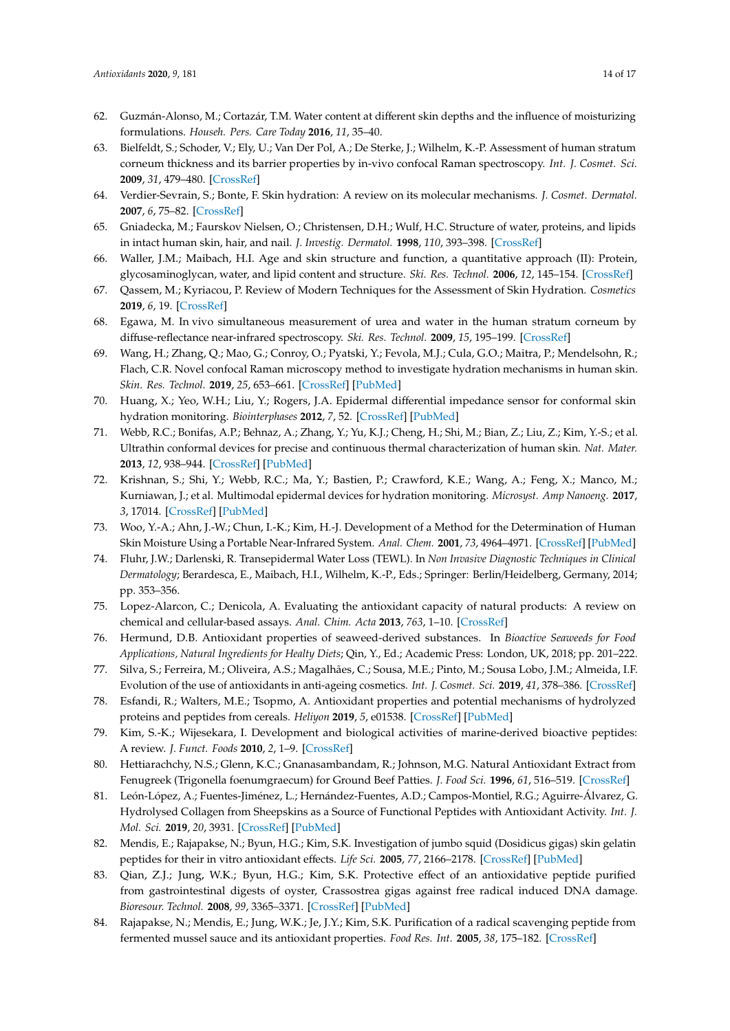- <span id="page-13-0"></span>62. Guzmán-Alonso, M.; Cortazár, T.M. Water content at different skin depths and the influence of moisturizing formulations. *Househ. Pers. Care Today* **2016**, *11*, 35–40.
- <span id="page-13-1"></span>63. Bielfeldt, S.; Schoder, V.; Ely, U.; Van Der Pol, A.; De Sterke, J.; Wilhelm, K.-P. Assessment of human stratum corneum thickness and its barrier properties by in-vivo confocal Raman spectroscopy. *Int. J. Cosmet. Sci.* **2009**, *31*, 479–480. [\[CrossRef\]](http://dx.doi.org/10.1111/j.1468-2494.2009.00532_2.x)
- <span id="page-13-2"></span>64. Verdier-Sevrain, S.; Bonte, F. Skin hydration: A review on its molecular mechanisms. *J. Cosmet. Dermatol.* **2007**, *6*, 75–82. [\[CrossRef\]](http://dx.doi.org/10.1111/j.1473-2165.2007.00300.x)
- <span id="page-13-3"></span>65. Gniadecka, M.; Faurskov Nielsen, O.; Christensen, D.H.; Wulf, H.C. Structure of water, proteins, and lipids in intact human skin, hair, and nail. *J. Investig. Dermatol.* **1998**, *110*, 393–398. [\[CrossRef\]](http://dx.doi.org/10.1046/j.1523-1747.1998.00146.x)
- <span id="page-13-4"></span>66. Waller, J.M.; Maibach, H.I. Age and skin structure and function, a quantitative approach (II): Protein, glycosaminoglycan, water, and lipid content and structure. *Ski. Res. Technol.* **2006**, *12*, 145–154. [\[CrossRef\]](http://dx.doi.org/10.1111/j.0909-752X.2006.00146.x)
- <span id="page-13-5"></span>67. Qassem, M.; Kyriacou, P. Review of Modern Techniques for the Assessment of Skin Hydration. *Cosmetics* **2019**, *6*, 19. [\[CrossRef\]](http://dx.doi.org/10.3390/cosmetics6010019)
- 68. Egawa, M. In vivo simultaneous measurement of urea and water in the human stratum corneum by diffuse-reflectance near-infrared spectroscopy. *Ski. Res. Technol.* **2009**, *15*, 195–199. [\[CrossRef\]](http://dx.doi.org/10.1111/j.1600-0846.2009.00353.x)
- <span id="page-13-6"></span>69. Wang, H.; Zhang, Q.; Mao, G.; Conroy, O.; Pyatski, Y.; Fevola, M.J.; Cula, G.O.; Maitra, P.; Mendelsohn, R.; Flach, C.R. Novel confocal Raman microscopy method to investigate hydration mechanisms in human skin. *Skin. Res. Technol.* **2019**, *25*, 653–661. [\[CrossRef\]](http://dx.doi.org/10.1111/srt.12698) [\[PubMed\]](http://www.ncbi.nlm.nih.gov/pubmed/30932226)
- <span id="page-13-7"></span>70. Huang, X.; Yeo, W.H.; Liu, Y.; Rogers, J.A. Epidermal differential impedance sensor for conformal skin hydration monitoring. *Biointerphases* **2012**, *7*, 52. [\[CrossRef\]](http://dx.doi.org/10.1007/s13758-012-0052-8) [\[PubMed\]](http://www.ncbi.nlm.nih.gov/pubmed/22915327)
- 71. Webb, R.C.; Bonifas, A.P.; Behnaz, A.; Zhang, Y.; Yu, K.J.; Cheng, H.; Shi, M.; Bian, Z.; Liu, Z.; Kim, Y.-S.; et al. Ultrathin conformal devices for precise and continuous thermal characterization of human skin. *Nat. Mater.* **2013**, *12*, 938–944. [\[CrossRef\]](http://dx.doi.org/10.1038/nmat3755) [\[PubMed\]](http://www.ncbi.nlm.nih.gov/pubmed/24037122)
- 72. Krishnan, S.; Shi, Y.; Webb, R.C.; Ma, Y.; Bastien, P.; Crawford, K.E.; Wang, A.; Feng, X.; Manco, M.; Kurniawan, J.; et al. Multimodal epidermal devices for hydration monitoring. *Microsyst. Amp Nanoeng.* **2017**, *3*, 17014. [\[CrossRef\]](http://dx.doi.org/10.1038/micronano.2017.14) [\[PubMed\]](http://www.ncbi.nlm.nih.gov/pubmed/31057861)
- 73. Woo, Y.-A.; Ahn, J.-W.; Chun, I.-K.; Kim, H.-J. Development of a Method for the Determination of Human Skin Moisture Using a Portable Near-Infrared System. *Anal. Chem.* **2001**, *73*, 4964–4971. [\[CrossRef\]](http://dx.doi.org/10.1021/ac0102563) [\[PubMed\]](http://www.ncbi.nlm.nih.gov/pubmed/11681473)
- <span id="page-13-8"></span>74. Fluhr, J.W.; Darlenski, R. Transepidermal Water Loss (TEWL). In *Non Invasive Diagnostic Techniques in Clinical Dermatology*; Berardesca, E., Maibach, H.I., Wilhelm, K.-P., Eds.; Springer: Berlin/Heidelberg, Germany, 2014; pp. 353–356.
- <span id="page-13-9"></span>75. Lopez-Alarcon, C.; Denicola, A. Evaluating the antioxidant capacity of natural products: A review on chemical and cellular-based assays. *Anal. Chim. Acta* **2013**, *763*, 1–10. [\[CrossRef\]](http://dx.doi.org/10.1016/j.aca.2012.11.051)
- <span id="page-13-10"></span>76. Hermund, D.B. Antioxidant properties of seaweed-derived substances. In *Bioactive Seaweeds for Food Applications, Natural Ingredients for Healty Diets*; Qin, Y., Ed.; Academic Press: London, UK, 2018; pp. 201–222.
- <span id="page-13-11"></span>77. Silva, S.; Ferreira, M.; Oliveira, A.S.; Magalhães, C.; Sousa, M.E.; Pinto, M.; Sousa Lobo, J.M.; Almeida, I.F. Evolution of the use of antioxidants in anti-ageing cosmetics. *Int. J. Cosmet. Sci.* **2019**, *41*, 378–386. [\[CrossRef\]](http://dx.doi.org/10.1111/ics.12551)
- <span id="page-13-12"></span>78. Esfandi, R.; Walters, M.E.; Tsopmo, A. Antioxidant properties and potential mechanisms of hydrolyzed proteins and peptides from cereals. *Heliyon* **2019**, *5*, e01538. [\[CrossRef\]](http://dx.doi.org/10.1016/j.heliyon.2019.e01538) [\[PubMed\]](http://www.ncbi.nlm.nih.gov/pubmed/31183417)
- <span id="page-13-13"></span>79. Kim, S.-K.; Wijesekara, I. Development and biological activities of marine-derived bioactive peptides: A review. *J. Funct. Foods* **2010**, *2*, 1–9. [\[CrossRef\]](http://dx.doi.org/10.1016/j.jff.2010.01.003)
- <span id="page-13-14"></span>80. Hettiarachchy, N.S.; Glenn, K.C.; Gnanasambandam, R.; Johnson, M.G. Natural Antioxidant Extract from Fenugreek (Trigonella foenumgraecum) for Ground Beef Patties. *J. Food Sci.* **1996**, *61*, 516–519. [\[CrossRef\]](http://dx.doi.org/10.1111/j.1365-2621.1996.tb13146.x)
- <span id="page-13-15"></span>81. León-López, A.; Fuentes-Jiménez, L.; Hernández-Fuentes, A.D.; Campos-Montiel, R.G.; Aguirre-Álvarez, G. Hydrolysed Collagen from Sheepskins as a Source of Functional Peptides with Antioxidant Activity. *Int. J. Mol. Sci.* **2019**, *20*, 3931. [\[CrossRef\]](http://dx.doi.org/10.3390/ijms20163931) [\[PubMed\]](http://www.ncbi.nlm.nih.gov/pubmed/31412541)
- <span id="page-13-16"></span>82. Mendis, E.; Rajapakse, N.; Byun, H.G.; Kim, S.K. Investigation of jumbo squid (Dosidicus gigas) skin gelatin peptides for their in vitro antioxidant effects. *Life Sci.* **2005**, *77*, 2166–2178. [\[CrossRef\]](http://dx.doi.org/10.1016/j.lfs.2005.03.016) [\[PubMed\]](http://www.ncbi.nlm.nih.gov/pubmed/15916780)
- <span id="page-13-17"></span>83. Qian, Z.J.; Jung, W.K.; Byun, H.G.; Kim, S.K. Protective effect of an antioxidative peptide purified from gastrointestinal digests of oyster, Crassostrea gigas against free radical induced DNA damage. *Bioresour. Technol.* **2008**, *99*, 3365–3371. [\[CrossRef\]](http://dx.doi.org/10.1016/j.biortech.2007.08.018) [\[PubMed\]](http://www.ncbi.nlm.nih.gov/pubmed/17904358)
- <span id="page-13-18"></span>84. Rajapakse, N.; Mendis, E.; Jung, W.K.; Je, J.Y.; Kim, S.K. Purification of a radical scavenging peptide from fermented mussel sauce and its antioxidant properties. *Food Res. Int.* **2005**, *38*, 175–182. [\[CrossRef\]](http://dx.doi.org/10.1016/j.foodres.2004.10.002)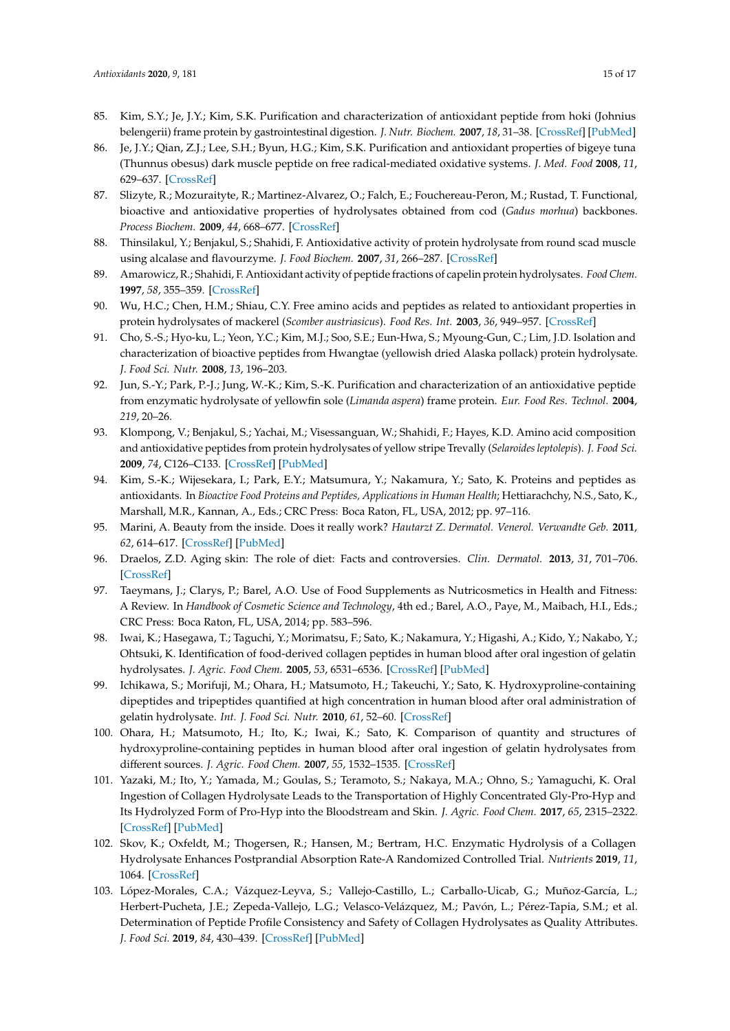- 85. Kim, S.Y.; Je, J.Y.; Kim, S.K. Purification and characterization of antioxidant peptide from hoki (Johnius belengerii) frame protein by gastrointestinal digestion. *J. Nutr. Biochem.* **2007**, *18*, 31–38. [\[CrossRef\]](http://dx.doi.org/10.1016/j.jnutbio.2006.02.006) [\[PubMed\]](http://www.ncbi.nlm.nih.gov/pubmed/16563720)
- 86. Je, J.Y.; Qian, Z.J.; Lee, S.H.; Byun, H.G.; Kim, S.K. Purification and antioxidant properties of bigeye tuna (Thunnus obesus) dark muscle peptide on free radical-mediated oxidative systems. *J. Med. Food* **2008**, *11*, 629–637. [\[CrossRef\]](http://dx.doi.org/10.1089/jmf.2007.0114)
- 87. Slizyte, R.; Mozuraityte, R.; Martinez-Alvarez, O.; Falch, E.; Fouchereau-Peron, M.; Rustad, T. Functional, bioactive and antioxidative properties of hydrolysates obtained from cod (*Gadus morhua*) backbones. *Process Biochem.* **2009**, *44*, 668–677. [\[CrossRef\]](http://dx.doi.org/10.1016/j.procbio.2009.02.010)
- 88. Thinsilakul, Y.; Benjakul, S.; Shahidi, F. Antioxidative activity of protein hydrolysate from round scad muscle using alcalase and flavourzyme. *J. Food Biochem.* **2007**, *31*, 266–287. [\[CrossRef\]](http://dx.doi.org/10.1111/j.1745-4514.2007.00111.x)
- 89. Amarowicz, R.; Shahidi, F. Antioxidant activity of peptide fractions of capelin protein hydrolysates. *Food Chem.* **1997**, *58*, 355–359. [\[CrossRef\]](http://dx.doi.org/10.1016/S0308-8146(96)00229-4)
- 90. Wu, H.C.; Chen, H.M.; Shiau, C.Y. Free amino acids and peptides as related to antioxidant properties in protein hydrolysates of mackerel (*Scomber austriasicus*). *Food Res. Int.* **2003**, *36*, 949–957. [\[CrossRef\]](http://dx.doi.org/10.1016/S0963-9969(03)00104-2)
- 91. Cho, S.-S.; Hyo-ku, L.; Yeon, Y.C.; Kim, M.J.; Soo, S.E.; Eun-Hwa, S.; Myoung-Gun, C.; Lim, J.D. Isolation and characterization of bioactive peptides from Hwangtae (yellowish dried Alaska pollack) protein hydrolysate. *J. Food Sci. Nutr.* **2008**, *13*, 196–203.
- 92. Jun, S.-Y.; Park, P.-J.; Jung, W.-K.; Kim, S.-K. Purification and characterization of an antioxidative peptide from enzymatic hydrolysate of yellowfin sole (*Limanda aspera*) frame protein. *Eur. Food Res. Technol.* **2004**, *219*, 20–26.
- <span id="page-14-0"></span>93. Klompong, V.; Benjakul, S.; Yachai, M.; Visessanguan, W.; Shahidi, F.; Hayes, K.D. Amino acid composition and antioxidative peptides from protein hydrolysates of yellow stripe Trevally (*Selaroides leptolepis*). *J. Food Sci.* **2009**, *74*, C126–C133. [\[CrossRef\]](http://dx.doi.org/10.1111/j.1750-3841.2009.01047.x) [\[PubMed\]](http://www.ncbi.nlm.nih.gov/pubmed/19323726)
- <span id="page-14-1"></span>94. Kim, S.-K.; Wijesekara, I.; Park, E.Y.; Matsumura, Y.; Nakamura, Y.; Sato, K. Proteins and peptides as antioxidants. In *Bioactive Food Proteins and Peptides, Applications in Human Health*; Hettiarachchy, N.S., Sato, K., Marshall, M.R., Kannan, A., Eds.; CRC Press: Boca Raton, FL, USA, 2012; pp. 97–116.
- <span id="page-14-2"></span>95. Marini, A. Beauty from the inside. Does it really work? *Hautarzt Z. Dermatol. Venerol. Verwandte Geb.* **2011**, *62*, 614–617. [\[CrossRef\]](http://dx.doi.org/10.1007/s00105-011-2138-5) [\[PubMed\]](http://www.ncbi.nlm.nih.gov/pubmed/21732161)
- <span id="page-14-3"></span>96. Draelos, Z.D. Aging skin: The role of diet: Facts and controversies. *Clin. Dermatol.* **2013**, *31*, 701–706. [\[CrossRef\]](http://dx.doi.org/10.1016/j.clindermatol.2013.05.005)
- <span id="page-14-4"></span>97. Taeymans, J.; Clarys, P.; Barel, A.O. Use of Food Supplements as Nutricosmetics in Health and Fitness: A Review. In *Handbook of Cosmetic Science and Technology*, 4th ed.; Barel, A.O., Paye, M., Maibach, H.I., Eds.; CRC Press: Boca Raton, FL, USA, 2014; pp. 583–596.
- <span id="page-14-5"></span>98. Iwai, K.; Hasegawa, T.; Taguchi, Y.; Morimatsu, F.; Sato, K.; Nakamura, Y.; Higashi, A.; Kido, Y.; Nakabo, Y.; Ohtsuki, K. Identification of food-derived collagen peptides in human blood after oral ingestion of gelatin hydrolysates. *J. Agric. Food Chem.* **2005**, *53*, 6531–6536. [\[CrossRef\]](http://dx.doi.org/10.1021/jf050206p) [\[PubMed\]](http://www.ncbi.nlm.nih.gov/pubmed/16076145)
- <span id="page-14-6"></span>99. Ichikawa, S.; Morifuji, M.; Ohara, H.; Matsumoto, H.; Takeuchi, Y.; Sato, K. Hydroxyproline-containing dipeptides and tripeptides quantified at high concentration in human blood after oral administration of gelatin hydrolysate. *Int. J. Food Sci. Nutr.* **2010**, *61*, 52–60. [\[CrossRef\]](http://dx.doi.org/10.3109/09637480903257711)
- <span id="page-14-7"></span>100. Ohara, H.; Matsumoto, H.; Ito, K.; Iwai, K.; Sato, K. Comparison of quantity and structures of hydroxyproline-containing peptides in human blood after oral ingestion of gelatin hydrolysates from different sources. *J. Agric. Food Chem.* **2007**, *55*, 1532–1535. [\[CrossRef\]](http://dx.doi.org/10.1021/jf062834s)
- <span id="page-14-8"></span>101. Yazaki, M.; Ito, Y.; Yamada, M.; Goulas, S.; Teramoto, S.; Nakaya, M.A.; Ohno, S.; Yamaguchi, K. Oral Ingestion of Collagen Hydrolysate Leads to the Transportation of Highly Concentrated Gly-Pro-Hyp and Its Hydrolyzed Form of Pro-Hyp into the Bloodstream and Skin. *J. Agric. Food Chem.* **2017**, *65*, 2315–2322. [\[CrossRef\]](http://dx.doi.org/10.1021/acs.jafc.6b05679) [\[PubMed\]](http://www.ncbi.nlm.nih.gov/pubmed/28244315)
- <span id="page-14-9"></span>102. Skov, K.; Oxfeldt, M.; Thogersen, R.; Hansen, M.; Bertram, H.C. Enzymatic Hydrolysis of a Collagen Hydrolysate Enhances Postprandial Absorption Rate-A Randomized Controlled Trial. *Nutrients* **2019**, *11*, 1064. [\[CrossRef\]](http://dx.doi.org/10.3390/nu11051064)
- <span id="page-14-10"></span>103. López-Morales, C.A.; Vázquez-Leyva, S.; Vallejo-Castillo, L.; Carballo-Uicab, G.; Muñoz-García, L.; Herbert-Pucheta, J.E.; Zepeda-Vallejo, L.G.; Velasco-Velázquez, M.; Pavón, L.; Pérez-Tapia, S.M.; et al. Determination of Peptide Profile Consistency and Safety of Collagen Hydrolysates as Quality Attributes. *J. Food Sci.* **2019**, *84*, 430–439. [\[CrossRef\]](http://dx.doi.org/10.1111/1750-3841.14466) [\[PubMed\]](http://www.ncbi.nlm.nih.gov/pubmed/30768685)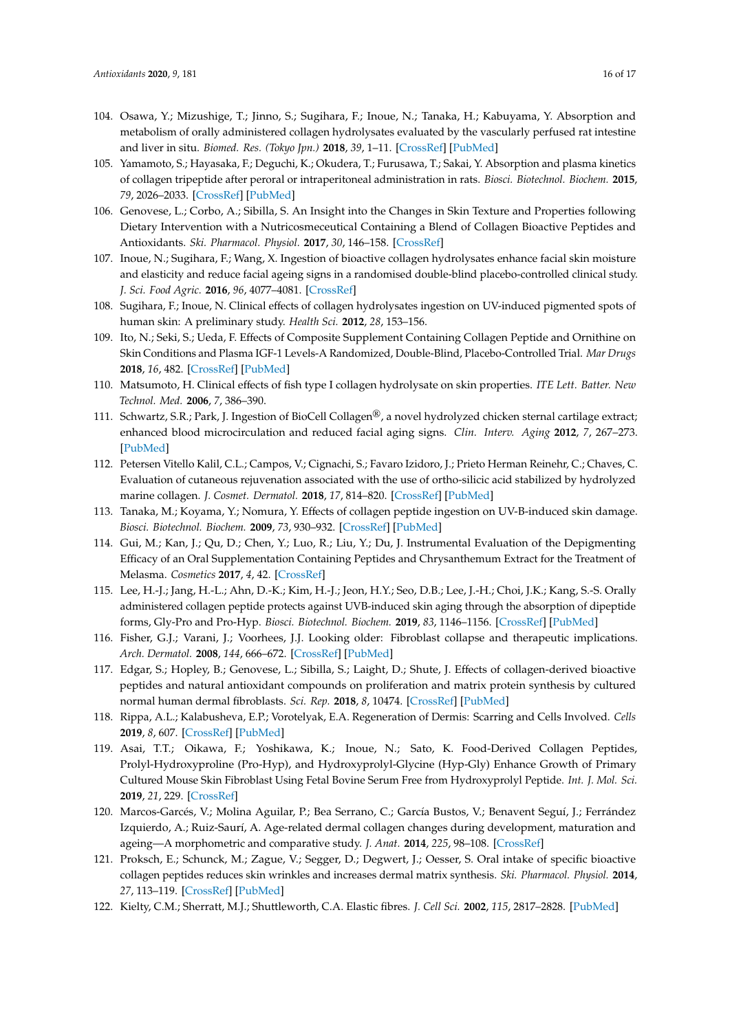- <span id="page-15-0"></span>104. Osawa, Y.; Mizushige, T.; Jinno, S.; Sugihara, F.; Inoue, N.; Tanaka, H.; Kabuyama, Y. Absorption and metabolism of orally administered collagen hydrolysates evaluated by the vascularly perfused rat intestine and liver in situ. *Biomed. Res. (Tokyo Jpn.)* **2018**, *39*, 1–11. [\[CrossRef\]](http://dx.doi.org/10.2220/biomedres.39.1) [\[PubMed\]](http://www.ncbi.nlm.nih.gov/pubmed/29467346)
- <span id="page-15-1"></span>105. Yamamoto, S.; Hayasaka, F.; Deguchi, K.; Okudera, T.; Furusawa, T.; Sakai, Y. Absorption and plasma kinetics of collagen tripeptide after peroral or intraperitoneal administration in rats. *Biosci. Biotechnol. Biochem.* **2015**, *79*, 2026–2033. [\[CrossRef\]](http://dx.doi.org/10.1080/09168451.2015.1062711) [\[PubMed\]](http://www.ncbi.nlm.nih.gov/pubmed/26155906)
- <span id="page-15-2"></span>106. Genovese, L.; Corbo, A.; Sibilla, S. An Insight into the Changes in Skin Texture and Properties following Dietary Intervention with a Nutricosmeceutical Containing a Blend of Collagen Bioactive Peptides and Antioxidants. *Ski. Pharmacol. Physiol.* **2017**, *30*, 146–158. [\[CrossRef\]](http://dx.doi.org/10.1159/000464470)
- <span id="page-15-3"></span>107. Inoue, N.; Sugihara, F.; Wang, X. Ingestion of bioactive collagen hydrolysates enhance facial skin moisture and elasticity and reduce facial ageing signs in a randomised double-blind placebo-controlled clinical study. *J. Sci. Food Agric.* **2016**, *96*, 4077–4081. [\[CrossRef\]](http://dx.doi.org/10.1002/jsfa.7606)
- <span id="page-15-4"></span>108. Sugihara, F.; Inoue, N. Clinical effects of collagen hydrolysates ingestion on UV-induced pigmented spots of human skin: A preliminary study. *Health Sci.* **2012**, *28*, 153–156.
- <span id="page-15-5"></span>109. Ito, N.; Seki, S.; Ueda, F. Effects of Composite Supplement Containing Collagen Peptide and Ornithine on Skin Conditions and Plasma IGF-1 Levels-A Randomized, Double-Blind, Placebo-Controlled Trial. *Mar Drugs* **2018**, *16*, 482. [\[CrossRef\]](http://dx.doi.org/10.3390/md16120482) [\[PubMed\]](http://www.ncbi.nlm.nih.gov/pubmed/30513923)
- <span id="page-15-6"></span>110. Matsumoto, H. Clinical effects of fish type I collagen hydrolysate on skin properties. *ITE Lett. Batter. New Technol. Med.* **2006**, *7*, 386–390.
- <span id="page-15-7"></span>111. Schwartz, S.R.; Park, J. Ingestion of BioCell Collagen®, a novel hydrolyzed chicken sternal cartilage extract; enhanced blood microcirculation and reduced facial aging signs. *Clin. Interv. Aging* **2012**, *7*, 267–273. [\[PubMed\]](http://www.ncbi.nlm.nih.gov/pubmed/22956862)
- <span id="page-15-8"></span>112. Petersen Vitello Kalil, C.L.; Campos, V.; Cignachi, S.; Favaro Izidoro, J.; Prieto Herman Reinehr, C.; Chaves, C. Evaluation of cutaneous rejuvenation associated with the use of ortho-silicic acid stabilized by hydrolyzed marine collagen. *J. Cosmet. Dermatol.* **2018**, *17*, 814–820. [\[CrossRef\]](http://dx.doi.org/10.1111/jocd.12430) [\[PubMed\]](http://www.ncbi.nlm.nih.gov/pubmed/28941141)
- <span id="page-15-9"></span>113. Tanaka, M.; Koyama, Y.; Nomura, Y. Effects of collagen peptide ingestion on UV-B-induced skin damage. *Biosci. Biotechnol. Biochem.* **2009**, *73*, 930–932. [\[CrossRef\]](http://dx.doi.org/10.1271/bbb.80649) [\[PubMed\]](http://www.ncbi.nlm.nih.gov/pubmed/19352014)
- <span id="page-15-10"></span>114. Gui, M.; Kan, J.; Qu, D.; Chen, Y.; Luo, R.; Liu, Y.; Du, J. Instrumental Evaluation of the Depigmenting Efficacy of an Oral Supplementation Containing Peptides and Chrysanthemum Extract for the Treatment of Melasma. *Cosmetics* **2017**, *4*, 42. [\[CrossRef\]](http://dx.doi.org/10.3390/cosmetics4040042)
- <span id="page-15-11"></span>115. Lee, H.-J.; Jang, H.-L.; Ahn, D.-K.; Kim, H.-J.; Jeon, H.Y.; Seo, D.B.; Lee, J.-H.; Choi, J.K.; Kang, S.-S. Orally administered collagen peptide protects against UVB-induced skin aging through the absorption of dipeptide forms, Gly-Pro and Pro-Hyp. *Biosci. Biotechnol. Biochem.* **2019**, *83*, 1146–1156. [\[CrossRef\]](http://dx.doi.org/10.1080/09168451.2019.1580559) [\[PubMed\]](http://www.ncbi.nlm.nih.gov/pubmed/30739561)
- <span id="page-15-12"></span>116. Fisher, G.J.; Varani, J.; Voorhees, J.J. Looking older: Fibroblast collapse and therapeutic implications. *Arch. Dermatol.* **2008**, *144*, 666–672. [\[CrossRef\]](http://dx.doi.org/10.1001/archderm.144.5.666) [\[PubMed\]](http://www.ncbi.nlm.nih.gov/pubmed/18490597)
- <span id="page-15-13"></span>117. Edgar, S.; Hopley, B.; Genovese, L.; Sibilla, S.; Laight, D.; Shute, J. Effects of collagen-derived bioactive peptides and natural antioxidant compounds on proliferation and matrix protein synthesis by cultured normal human dermal fibroblasts. *Sci. Rep.* **2018**, *8*, 10474. [\[CrossRef\]](http://dx.doi.org/10.1038/s41598-018-28492-w) [\[PubMed\]](http://www.ncbi.nlm.nih.gov/pubmed/29992983)
- <span id="page-15-14"></span>118. Rippa, A.L.; Kalabusheva, E.P.; Vorotelyak, E.A. Regeneration of Dermis: Scarring and Cells Involved. *Cells* **2019**, *8*, 607. [\[CrossRef\]](http://dx.doi.org/10.3390/cells8060607) [\[PubMed\]](http://www.ncbi.nlm.nih.gov/pubmed/31216669)
- <span id="page-15-15"></span>119. Asai, T.T.; Oikawa, F.; Yoshikawa, K.; Inoue, N.; Sato, K. Food-Derived Collagen Peptides, Prolyl-Hydroxyproline (Pro-Hyp), and Hydroxyprolyl-Glycine (Hyp-Gly) Enhance Growth of Primary Cultured Mouse Skin Fibroblast Using Fetal Bovine Serum Free from Hydroxyprolyl Peptide. *Int. J. Mol. Sci.* **2019**, *21*, 229. [\[CrossRef\]](http://dx.doi.org/10.3390/ijms21010229)
- <span id="page-15-16"></span>120. Marcos-Garcés, V.; Molina Aguilar, P.; Bea Serrano, C.; García Bustos, V.; Benavent Seguí, J.; Ferrández Izquierdo, A.; Ruiz-Saurí, A. Age-related dermal collagen changes during development, maturation and ageing—A morphometric and comparative study. *J. Anat.* **2014**, *225*, 98–108. [\[CrossRef\]](http://dx.doi.org/10.1111/joa.12186)
- <span id="page-15-17"></span>121. Proksch, E.; Schunck, M.; Zague, V.; Segger, D.; Degwert, J.; Oesser, S. Oral intake of specific bioactive collagen peptides reduces skin wrinkles and increases dermal matrix synthesis. *Ski. Pharmacol. Physiol.* **2014**, *27*, 113–119. [\[CrossRef\]](http://dx.doi.org/10.1159/000355523) [\[PubMed\]](http://www.ncbi.nlm.nih.gov/pubmed/24401291)
- <span id="page-15-18"></span>122. Kielty, C.M.; Sherratt, M.J.; Shuttleworth, C.A. Elastic fibres. *J. Cell Sci.* **2002**, *115*, 2817–2828. [\[PubMed\]](http://www.ncbi.nlm.nih.gov/pubmed/12082143)